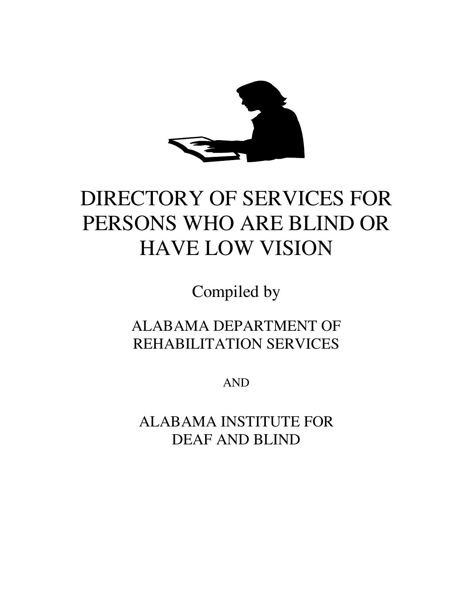

# DIRECTORY OF SERVICES FOR PERSONS WHO ARE BLIND OR HAVE LOW VISION

Compiled by

ALABAMA DEPARTMENT OF REHABILITATION SERVICES

AND

ALABAMA INSTITUTE FOR DEAF AND BLIND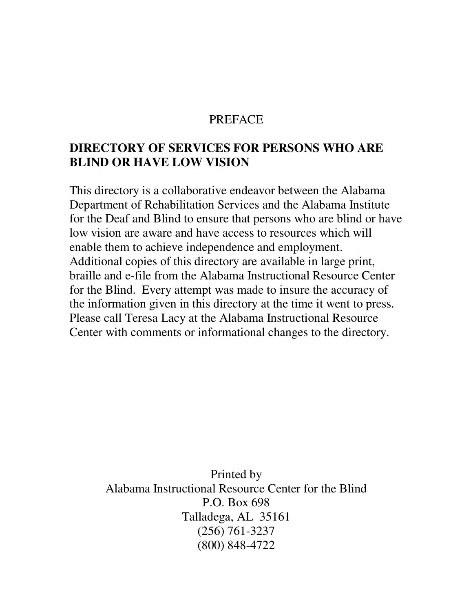#### PREFACE

## **DIRECTORY OF SERVICES FOR PERSONS WHO ARE BLIND OR HAVE LOW VISION**

This directory is a collaborative endeavor between the Alabama Department of Rehabilitation Services and the Alabama Institute for the Deaf and Blind to ensure that persons who are blind or have low vision are aware and have access to resources which will enable them to achieve independence and employment. Additional copies of this directory are available in large print, braille and e-file from the Alabama Instructional Resource Center for the Blind. Every attempt was made to insure the accuracy of the information given in this directory at the time it went to press. Please call Teresa Lacy at the Alabama Instructional Resource Center with comments or informational changes to the directory.

> Printed by Alabama Instructional Resource Center for the Blind P.O. Box 698 Talladega, AL 35161 (256) 761-3237 (800) 848-4722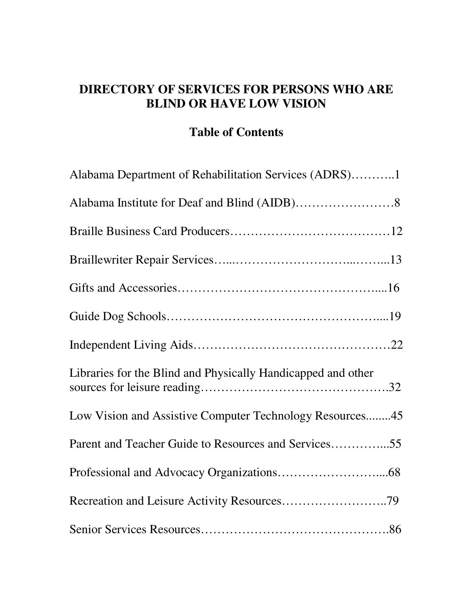# **DIRECTORY OF SERVICES FOR PERSONS WHO ARE BLIND OR HAVE LOW VISION**

# **Table of Contents**

| Alabama Department of Rehabilitation Services (ADRS)1        |  |
|--------------------------------------------------------------|--|
|                                                              |  |
|                                                              |  |
|                                                              |  |
|                                                              |  |
|                                                              |  |
|                                                              |  |
| Libraries for the Blind and Physically Handicapped and other |  |
| Low Vision and Assistive Computer Technology Resources45     |  |
| Parent and Teacher Guide to Resources and Services55         |  |
|                                                              |  |
| Recreation and Leisure Activity Resources79                  |  |
|                                                              |  |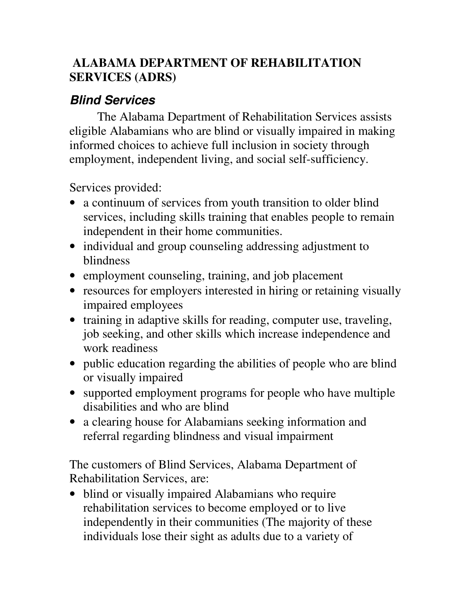# **ALABAMA DEPARTMENT OF REHABILITATION SERVICES (ADRS)**

# *Blind Services*

The Alabama Department of Rehabilitation Services assists eligible Alabamians who are blind or visually impaired in making informed choices to achieve full inclusion in society through employment, independent living, and social self-sufficiency.

Services provided:

- a continuum of services from youth transition to older blind services, including skills training that enables people to remain independent in their home communities.
- individual and group counseling addressing adjustment to blindness
- employment counseling, training, and job placement
- resources for employers interested in hiring or retaining visually impaired employees
- training in adaptive skills for reading, computer use, traveling, job seeking, and other skills which increase independence and work readiness
- public education regarding the abilities of people who are blind or visually impaired
- supported employment programs for people who have multiple disabilities and who are blind
- a clearing house for Alabamians seeking information and referral regarding blindness and visual impairment

The customers of Blind Services, Alabama Department of Rehabilitation Services, are:

• blind or visually impaired Alabamians who require rehabilitation services to become employed or to live independently in their communities (The majority of these individuals lose their sight as adults due to a variety of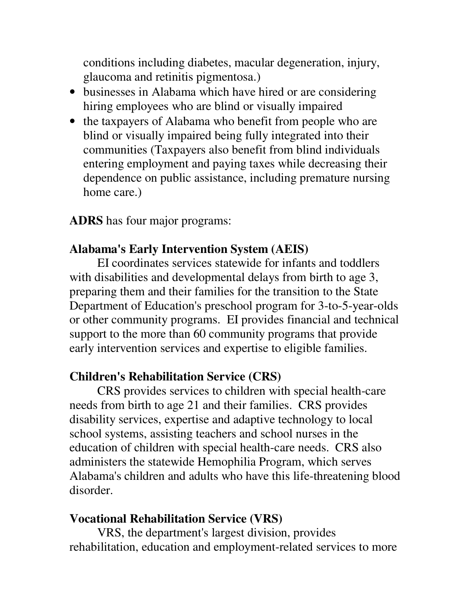conditions including diabetes, macular degeneration, injury, glaucoma and retinitis pigmentosa.)

- businesses in Alabama which have hired or are considering hiring employees who are blind or visually impaired
- the taxpayers of Alabama who benefit from people who are blind or visually impaired being fully integrated into their communities (Taxpayers also benefit from blind individuals entering employment and paying taxes while decreasing their dependence on public assistance, including premature nursing home care.)

**ADRS** has four major programs:

## **Alabama's Early Intervention System (AEIS)**

EI coordinates services statewide for infants and toddlers with disabilities and developmental delays from birth to age 3, preparing them and their families for the transition to the State Department of Education's preschool program for 3-to-5-year-olds or other community programs. EI provides financial and technical support to the more than 60 community programs that provide early intervention services and expertise to eligible families.

## **Children's Rehabilitation Service (CRS)**

CRS provides services to children with special health-care needs from birth to age 21 and their families. CRS provides disability services, expertise and adaptive technology to local school systems, assisting teachers and school nurses in the education of children with special health-care needs. CRS also administers the statewide Hemophilia Program, which serves Alabama's children and adults who have this life-threatening blood disorder.

## **Vocational Rehabilitation Service (VRS)**

VRS, the department's largest division, provides rehabilitation, education and employment-related services to more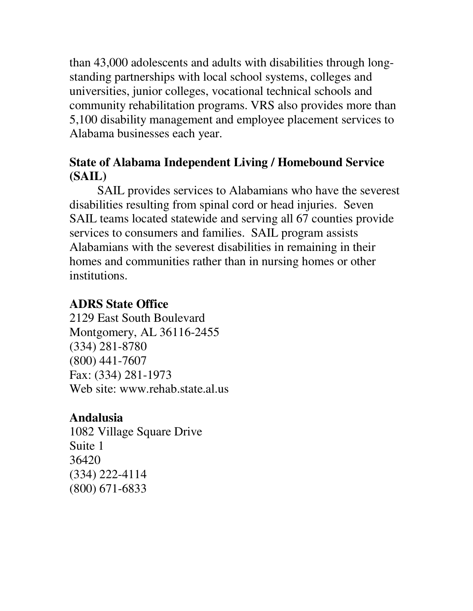than 43,000 adolescents and adults with disabilities through longstanding partnerships with local school systems, colleges and universities, junior colleges, vocational technical schools and community rehabilitation programs. VRS also provides more than 5,100 disability management and employee placement services to Alabama businesses each year.

# **State of Alabama Independent Living / Homebound Service (SAIL)**

SAIL provides services to Alabamians who have the severest disabilities resulting from spinal cord or head injuries. Seven SAIL teams located statewide and serving all 67 counties provide services to consumers and families. SAIL program assists Alabamians with the severest disabilities in remaining in their homes and communities rather than in nursing homes or other institutions.

# **ADRS State Office**

2129 East South Boulevard Montgomery, AL 36116-2455 (334) 281-8780 (800) 441-7607 Fax: (334) 281-1973 Web site: www.rehab.state.al.us

# **Andalusia**

1082 Village Square Drive Suite 1 36420 (334) 222-4114 (800) 671-6833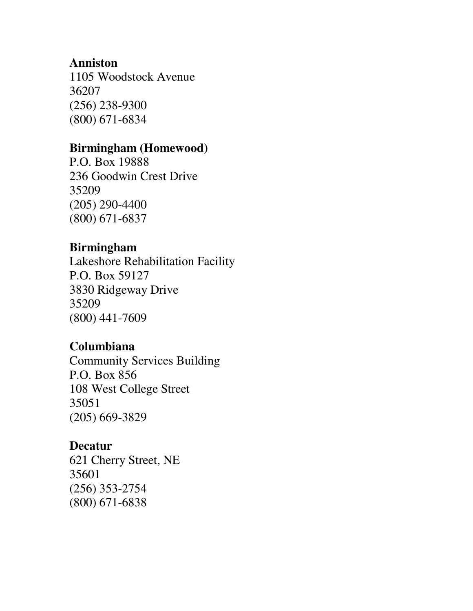#### **Anniston**

1105 Woodstock Avenue 36207 (256) 238-9300 (800) 671-6834

#### **Birmingham (Homewood)**

P.O. Box 19888 236 Goodwin Crest Drive 35209 (205) 290-4400 (800) 671-6837

#### **Birmingham**

Lakeshore Rehabilitation Facility P.O. Box 59127 3830 Ridgeway Drive 35209 (800) 441-7609

## **Columbiana**

Community Services Building P.O. Box 856 108 West College Street 35051 (205) 669-3829

## **Decatur**

621 Cherry Street, NE 35601 (256) 353-2754 (800) 671-6838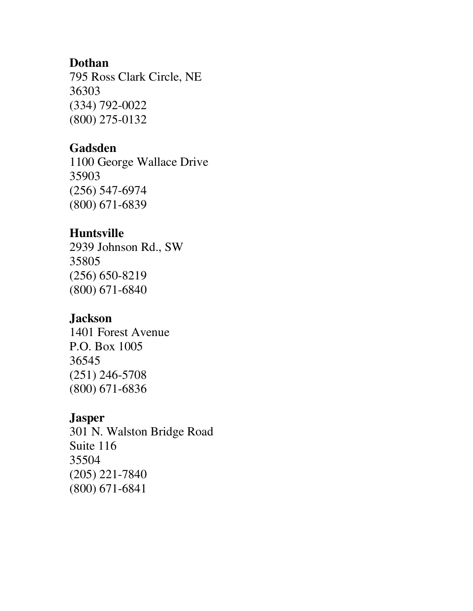#### **Dothan**

795 Ross Clark Circle, NE 36303 (334) 792-0022 (800) 275-0132

# **Gadsden**

1100 George Wallace Drive 35903 (256) 547-6974 (800) 671-6839

# **Huntsville**

2939 Johnson Rd., SW 35805 (256) 650-8219 (800) 671-6840

# **Jackson**

1401 Forest Avenue P.O. Box 1005 36545 (251) 246-5708 (800) 671-6836

# **Jasper**

301 N. Walston Bridge Road Suite 116 35504 (205) 221-7840 (800) 671-6841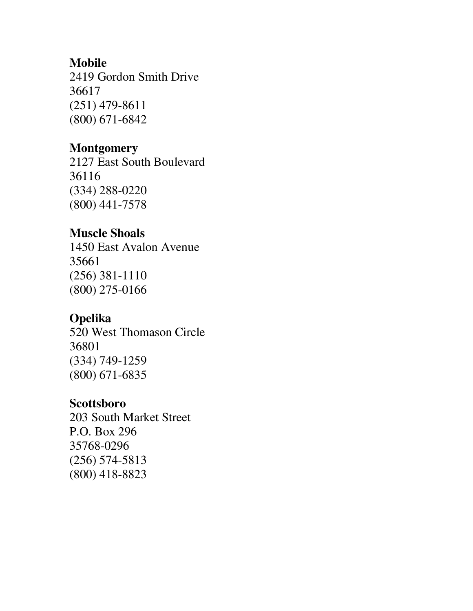#### **Mobile**

2419 Gordon Smith Drive 36617 (251) 479-8611 (800) 671-6842

#### **Montgomery**

2127 East South Boulevard 36116 (334) 288-0220 (800) 441-7578

## **Muscle Shoals**

1450 East Avalon Avenue 35661 (256) 381-1110 (800) 275-0166

## **Opelika**

520 West Thomason Circle 36801 (334) 749-1259 (800) 671-6835

## **Scottsboro**

203 South Market Street P.O. Box 296 35768-0296 (256) 574-5813 (800) 418-8823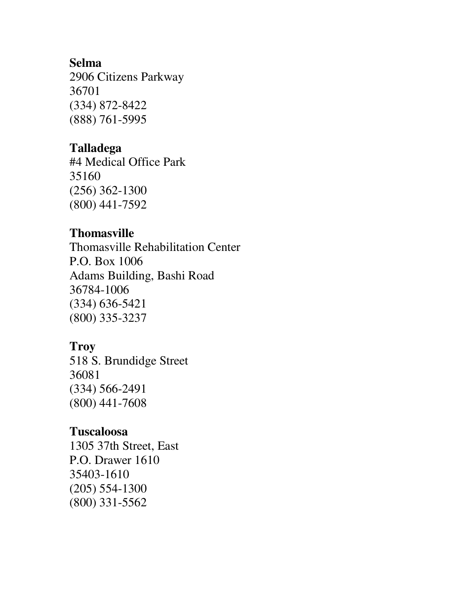#### **Selma**

2906 Citizens Parkway 36701 (334) 872-8422 (888) 761-5995

#### **Talladega**

#4 Medical Office Park 35160 (256) 362-1300 (800) 441-7592

#### **Thomasville**

Thomasville Rehabilitation Center P.O. Box 1006 Adams Building, Bashi Road 36784-1006 (334) 636-5421 (800) 335-3237

## **Troy**

518 S. Brundidge Street 36081 (334) 566-2491 (800) 441-7608

#### **Tuscaloosa**

1305 37th Street, East P.O. Drawer 1610 35403-1610 (205) 554-1300 (800) 331-5562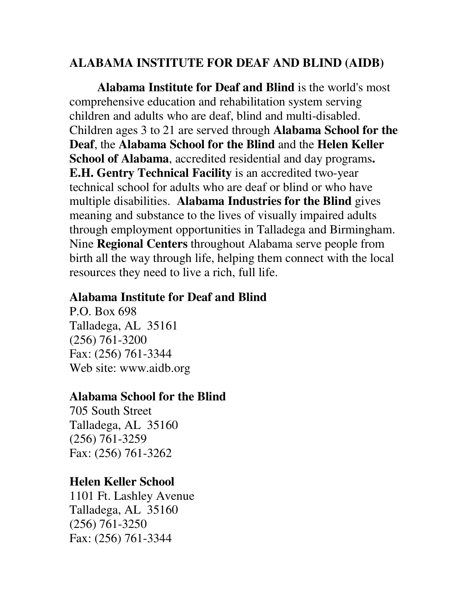# **ALABAMA INSTITUTE FOR DEAF AND BLIND (AIDB)**

**Alabama Institute for Deaf and Blind** is the world's most comprehensive education and rehabilitation system serving children and adults who are deaf, blind and multi-disabled. Children ages 3 to 21 are served through **Alabama School for the Deaf**, the **Alabama School for the Blind** and the **Helen Keller School of Alabama**, accredited residential and day programs**. E.H. Gentry Technical Facility** is an accredited two-year technical school for adults who are deaf or blind or who have multiple disabilities. **Alabama Industries for the Blind** gives meaning and substance to the lives of visually impaired adults through employment opportunities in Talladega and Birmingham. Nine **Regional Centers** throughout Alabama serve people from birth all the way through life, helping them connect with the local resources they need to live a rich, full life.

#### **Alabama Institute for Deaf and Blind**

P.O. Box 698 Talladega, AL 35161 (256) 761-3200 Fax: (256) 761-3344 Web site: www.aidb.org

## **Alabama School for the Blind**

705 South Street Talladega, AL 35160 (256) 761-3259 Fax: (256) 761-3262

## **Helen Keller School**

1101 Ft. Lashley Avenue Talladega, AL 35160 (256) 761-3250 Fax: (256) 761-3344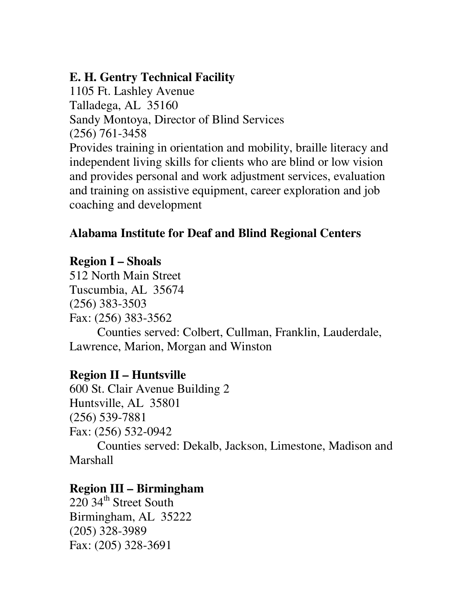# **E. H. Gentry Technical Facility**

1105 Ft. Lashley Avenue Talladega, AL 35160 Sandy Montoya, Director of Blind Services (256) 761-3458 Provides training in orientation and mobility, braille literacy and independent living skills for clients who are blind or low vision and provides personal and work adjustment services, evaluation and training on assistive equipment, career exploration and job coaching and development

# **Alabama Institute for Deaf and Blind Regional Centers**

# **Region I – Shoals**

512 North Main Street Tuscumbia, AL 35674 (256) 383-3503 Fax: (256) 383-3562 Counties served: Colbert, Cullman, Franklin, Lauderdale, Lawrence, Marion, Morgan and Winston

## **Region II – Huntsville**

600 St. Clair Avenue Building 2 Huntsville, AL 35801 (256) 539-7881 Fax: (256) 532-0942 Counties served: Dekalb, Jackson, Limestone, Madison and Marshall

## **Region III – Birmingham**

220 34<sup>th</sup> Street South Birmingham, AL 35222 (205) 328-3989 Fax: (205) 328-3691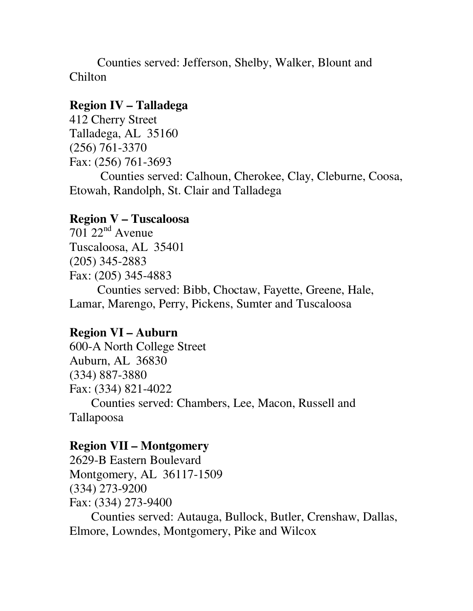Counties served: Jefferson, Shelby, Walker, Blount and Chilton

#### **Region IV – Talladega**

412 Cherry Street Talladega, AL 35160 (256) 761-3370 Fax: (256) 761-3693 Counties served: Calhoun, Cherokee, Clay, Cleburne, Coosa, Etowah, Randolph, St. Clair and Talladega

#### **Region V – Tuscaloosa**

 $701$   $22<sup>nd</sup>$  Avenue Tuscaloosa, AL 35401 (205) 345-2883 Fax: (205) 345-4883

Counties served: Bibb, Choctaw, Fayette, Greene, Hale, Lamar, Marengo, Perry, Pickens, Sumter and Tuscaloosa

#### **Region VI – Auburn**

600-A North College Street Auburn, AL 36830 (334) 887-3880 Fax: (334) 821-4022 Counties served: Chambers, Lee, Macon, Russell and Tallapoosa

#### **Region VII – Montgomery**

2629-B Eastern Boulevard Montgomery, AL 36117-1509 (334) 273-9200 Fax: (334) 273-9400

Counties served: Autauga, Bullock, Butler, Crenshaw, Dallas, Elmore, Lowndes, Montgomery, Pike and Wilcox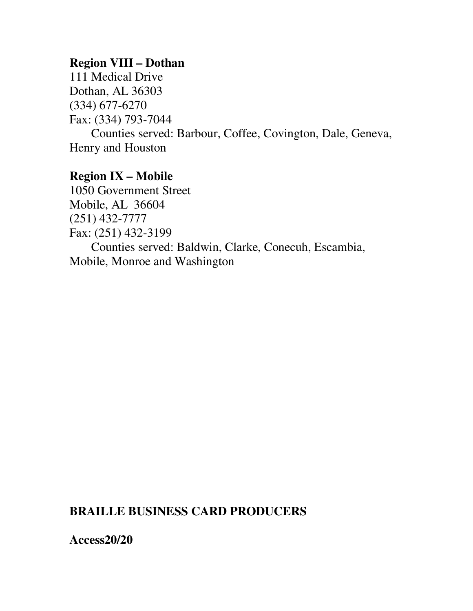#### **Region VIII – Dothan**

111 Medical Drive Dothan, AL 36303 (334) 677-6270 Fax: (334) 793-7044

Counties served: Barbour, Coffee, Covington, Dale, Geneva, Henry and Houston

## **Region IX – Mobile**

1050 Government Street Mobile, AL 36604 (251) 432-7777 Fax: (251) 432-3199 Counties served: Baldwin, Clarke, Conecuh, Escambia, Mobile, Monroe and Washington

# **BRAILLE BUSINESS CARD PRODUCERS**

**Access20/20**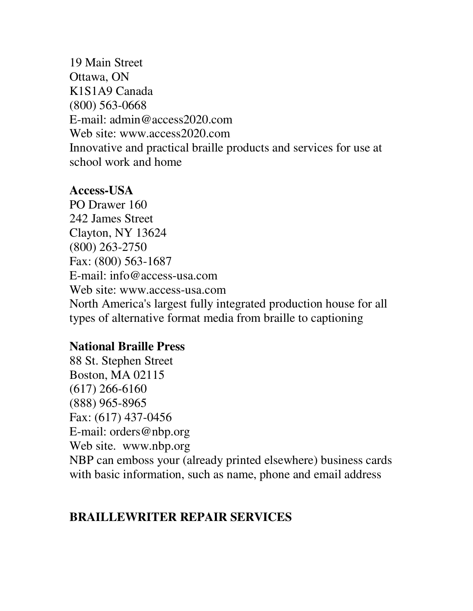19 Main Street Ottawa, ON K1S1A9 Canada (800) 563-0668 E-mail: admin@access2020.com Web site: www.access2020.com Innovative and practical braille products and services for use at school work and home

## **Access-USA**

PO Drawer 160 242 James Street Clayton, NY 13624 (800) 263-2750 Fax: (800) 563-1687 E-mail: info@access-usa.com Web site: www.access-usa.com North America's largest fully integrated production house for all types of alternative format media from braille to captioning

## **National Braille Press**

88 St. Stephen Street Boston, MA 02115 (617) 266-6160 (888) 965-8965 Fax: (617) 437-0456 E-mail: orders@nbp.org Web site. www.nbp.org NBP can emboss your (already printed elsewhere) business cards with basic information, such as name, phone and email address

# **BRAILLEWRITER REPAIR SERVICES**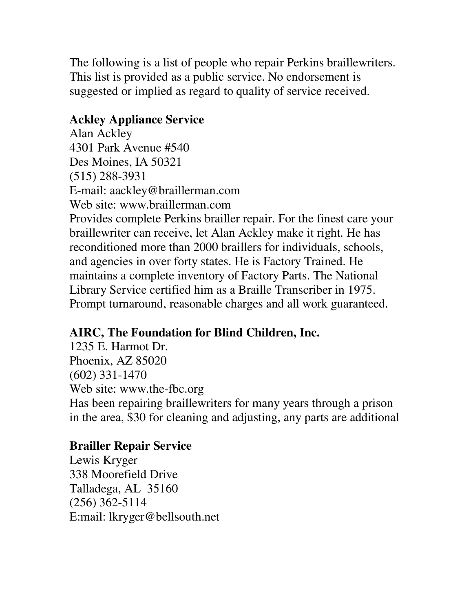The following is a list of people who repair Perkins braillewriters. This list is provided as a public service. No endorsement is suggested or implied as regard to quality of service received.

# **Ackley Appliance Service**

Alan Ackley 4301 Park Avenue #540 Des Moines, IA 50321 (515) 288-3931 E-mail: aackley@braillerman.com Web site: www.braillerman.com Provides complete Perkins brailler repair. For the finest care your braillewriter can receive, let Alan Ackley make it right. He has reconditioned more than 2000 braillers for individuals, schools, and agencies in over forty states. He is Factory Trained. He maintains a complete inventory of Factory Parts. The National Library Service certified him as a Braille Transcriber in 1975. Prompt turnaround, reasonable charges and all work guaranteed.

# **AIRC, The Foundation for Blind Children, Inc.**

1235 E. Harmot Dr. Phoenix, AZ 85020 (602) 331-1470 Web site: www.the-fbc.org Has been repairing braillewriters for many years through a prison in the area, \$30 for cleaning and adjusting, any parts are additional

# **Brailler Repair Service**

Lewis Kryger 338 Moorefield Drive Talladega, AL 35160 (256) 362-5114 E:mail: lkryger@bellsouth.net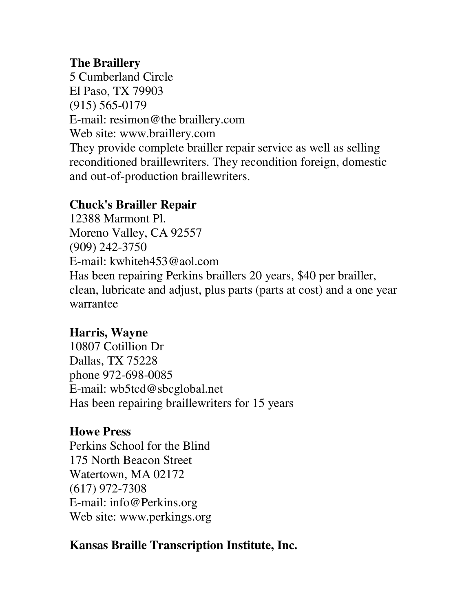## **The Braillery**

5 Cumberland Circle El Paso, TX 79903 (915) 565-0179 E-mail: resimon@the braillery.com Web site: www.braillery.com They provide complete brailler repair service as well as selling reconditioned braillewriters. They recondition foreign, domestic and out-of-production braillewriters.

# **Chuck's Brailler Repair**

12388 Marmont Pl. Moreno Valley, CA 92557 (909) 242-3750 E-mail: kwhiteh453@aol.com Has been repairing Perkins braillers 20 years, \$40 per brailler, clean, lubricate and adjust, plus parts (parts at cost) and a one year warrantee

# **Harris, Wayne**

10807 Cotillion Dr Dallas, TX 75228 phone 972-698-0085 E-mail: wb5tcd@sbcglobal.net Has been repairing braillewriters for 15 years

# **Howe Press**

Perkins School for the Blind 175 North Beacon Street Watertown, MA 02172 (617) 972-7308 E-mail: info@Perkins.org Web site: www.perkings.org

# **Kansas Braille Transcription Institute, Inc.**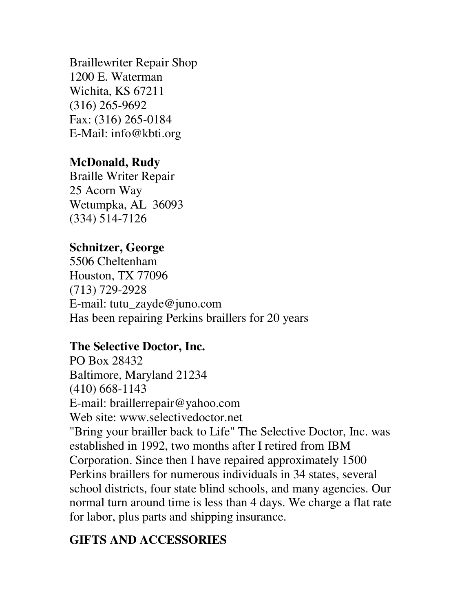Braillewriter Repair Shop 1200 E. Waterman Wichita, KS 67211 (316) 265-9692 Fax: (316) 265-0184 E-Mail: info@kbti.org

# **McDonald, Rudy**

Braille Writer Repair 25 Acorn Way Wetumpka, AL 36093 (334) 514-7126

## **Schnitzer, George**

5506 Cheltenham Houston, TX 77096 (713) 729-2928 E-mail: tutu\_zayde@juno.com Has been repairing Perkins braillers for 20 years

## **The Selective Doctor, Inc.**

PO Box 28432 Baltimore, Maryland 21234 (410) 668-1143 E-mail: braillerrepair@yahoo.com Web site: www.selectivedoctor.net "Bring your brailler back to Life" The Selective Doctor, Inc. was established in 1992, two months after I retired from IBM Corporation. Since then I have repaired approximately 1500 Perkins braillers for numerous individuals in 34 states, several school districts, four state blind schools, and many agencies. Our normal turn around time is less than 4 days. We charge a flat rate for labor, plus parts and shipping insurance.

# **GIFTS AND ACCESSORIES**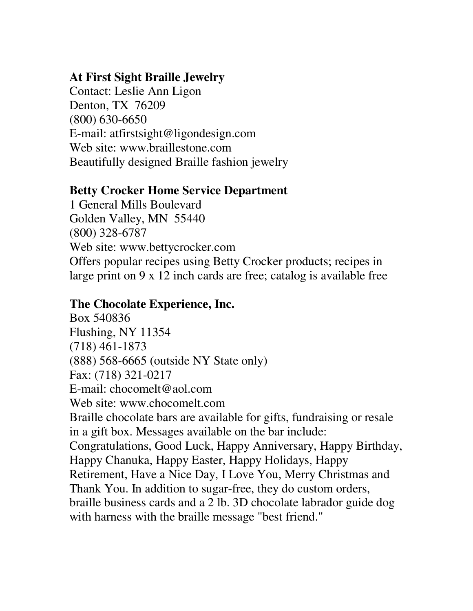# **At First Sight Braille Jewelry**

Contact: Leslie Ann Ligon Denton, TX 76209 (800) 630-6650 E-mail: atfirstsight@ligondesign.com Web site: www.braillestone.com Beautifully designed Braille fashion jewelry

# **Betty Crocker Home Service Department**

1 General Mills Boulevard Golden Valley, MN 55440 (800) 328-6787 Web site: www.bettycrocker.com Offers popular recipes using Betty Crocker products; recipes in large print on 9 x 12 inch cards are free; catalog is available free

# **The Chocolate Experience, Inc.**

Box 540836 Flushing, NY 11354 (718) 461-1873 (888) 568-6665 (outside NY State only) Fax: (718) 321-0217 E-mail: chocomelt@aol.com Web site: www.chocomelt.com Braille chocolate bars are available for gifts, fundraising or resale in a gift box. Messages available on the bar include: Congratulations, Good Luck, Happy Anniversary, Happy Birthday, Happy Chanuka, Happy Easter, Happy Holidays, Happy Retirement, Have a Nice Day, I Love You, Merry Christmas and Thank You. In addition to sugar-free, they do custom orders, braille business cards and a 2 lb. 3D chocolate labrador guide dog with harness with the braille message "best friend."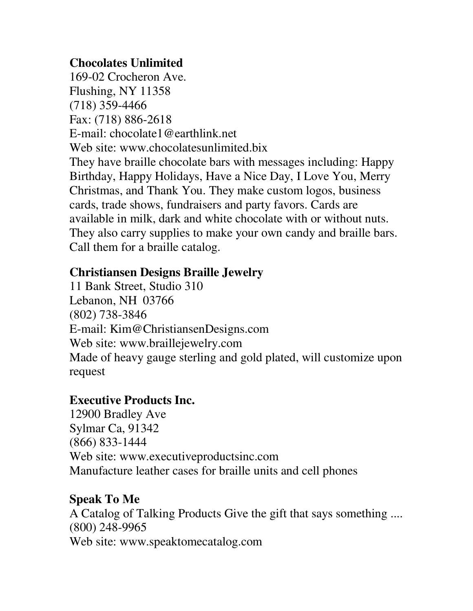# **Chocolates Unlimited**

169-02 Crocheron Ave. Flushing, NY 11358 (718) 359-4466 Fax: (718) 886-2618 E-mail: chocolate1@earthlink.net Web site: www.chocolatesunlimited.bix They have braille chocolate bars with messages including: Happy Birthday, Happy Holidays, Have a Nice Day, I Love You, Merry Christmas, and Thank You. They make custom logos, business cards, trade shows, fundraisers and party favors. Cards are available in milk, dark and white chocolate with or without nuts. They also carry supplies to make your own candy and braille bars. Call them for a braille catalog.

# **Christiansen Designs Braille Jewelry**

11 Bank Street, Studio 310 Lebanon, NH 03766 (802) 738-3846 E-mail: Kim@ChristiansenDesigns.com Web site: www.braillejewelry.com Made of heavy gauge sterling and gold plated, will customize upon request

## **Executive Products Inc.**

12900 Bradley Ave Sylmar Ca, 91342 (866) 833-1444 Web site: www.executiveproductsinc.com Manufacture leather cases for braille units and cell phones

## **Speak To Me**

A Catalog of Talking Products Give the gift that says something .... (800) 248-9965 Web site: www.speaktomecatalog.com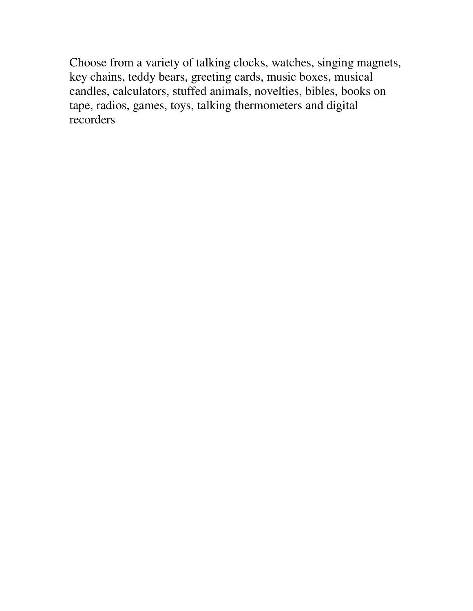Choose from a variety of talking clocks, watches, singing magnets, key chains, teddy bears, greeting cards, music boxes, musical candles, calculators, stuffed animals, novelties, bibles, books on tape, radios, games, toys, talking thermometers and digital recorders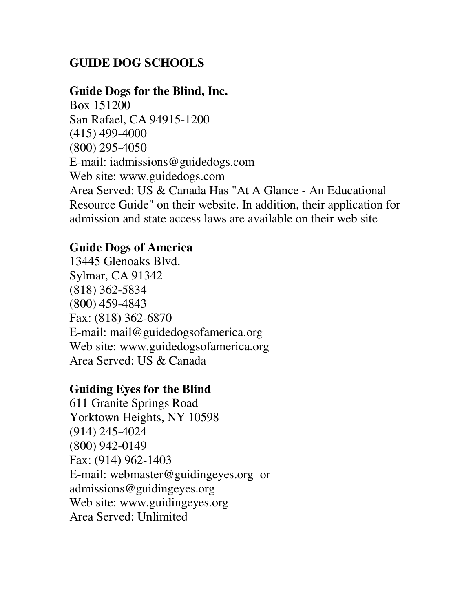# **GUIDE DOG SCHOOLS**

#### **Guide Dogs for the Blind, Inc.**

Box 151200 San Rafael, CA 94915-1200 (415) 499-4000 (800) 295-4050 E-mail: iadmissions@guidedogs.com Web site: www.guidedogs.com Area Served: US & Canada Has "At A Glance - An Educational Resource Guide" on their website. In addition, their application for admission and state access laws are available on their web site

## **Guide Dogs of America**

13445 Glenoaks Blvd. Sylmar, CA 91342 (818) 362-5834 (800) 459-4843 Fax: (818) 362-6870 E-mail: mail@guidedogsofamerica.org Web site: www.guidedogsofamerica.org Area Served: US & Canada

## **Guiding Eyes for the Blind**

611 Granite Springs Road Yorktown Heights, NY 10598 (914) 245-4024 (800) 942-0149 Fax: (914) 962-1403 E-mail: webmaster@guidingeyes.org or admissions@guidingeyes.org Web site: www.guidingeyes.org Area Served: Unlimited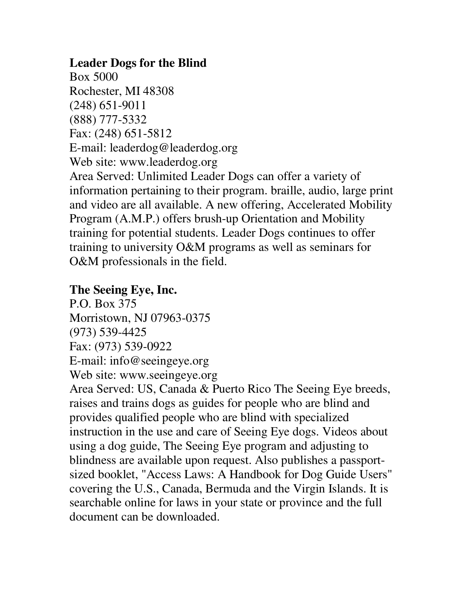## **Leader Dogs for the Blind**

Box 5000 Rochester, MI 48308 (248) 651-9011 (888) 777-5332 Fax: (248) 651-5812 E-mail: leaderdog@leaderdog.org Web site: www.leaderdog.org Area Served: Unlimited Leader Dogs can offer a variety of information pertaining to their program. braille, audio, large print and video are all available. A new offering, Accelerated Mobility Program (A.M.P.) offers brush-up Orientation and Mobility training for potential students. Leader Dogs continues to offer training to university O&M programs as well as seminars for O&M professionals in the field.

## **The Seeing Eye, Inc.**

P.O. Box 375 Morristown, NJ 07963-0375 (973) 539-4425 Fax: (973) 539-0922 E-mail: info@seeingeye.org Web site: www.seeingeye.org

Area Served: US, Canada & Puerto Rico The Seeing Eye breeds, raises and trains dogs as guides for people who are blind and provides qualified people who are blind with specialized instruction in the use and care of Seeing Eye dogs. Videos about using a dog guide, The Seeing Eye program and adjusting to blindness are available upon request. Also publishes a passportsized booklet, "Access Laws: A Handbook for Dog Guide Users" covering the U.S., Canada, Bermuda and the Virgin Islands. It is searchable online for laws in your state or province and the full document can be downloaded.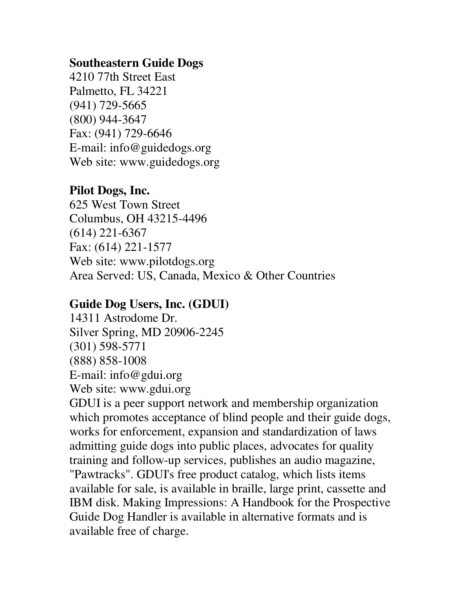#### **Southeastern Guide Dogs**

4210 77th Street East Palmetto, FL 34221 (941) 729-5665 (800) 944-3647 Fax: (941) 729-6646 E-mail: info@guidedogs.org Web site: www.guidedogs.org

## **Pilot Dogs, Inc.**

625 West Town Street Columbus, OH 43215-4496 (614) 221-6367 Fax: (614) 221-1577 Web site: www.pilotdogs.org Area Served: US, Canada, Mexico & Other Countries

#### **Guide Dog Users, Inc. (GDUI)**

14311 Astrodome Dr. Silver Spring, MD 20906-2245 (301) 598-5771 (888) 858-1008 E-mail: info@gdui.org Web site: www.gdui.org

GDUI is a peer support network and membership organization which promotes acceptance of blind people and their guide dogs, works for enforcement, expansion and standardization of laws admitting guide dogs into public places, advocates for quality training and follow-up services, publishes an audio magazine, "Pawtracks". GDUI's free product catalog, which lists items available for sale, is available in braille, large print, cassette and IBM disk. Making Impressions: A Handbook for the Prospective Guide Dog Handler is available in alternative formats and is available free of charge.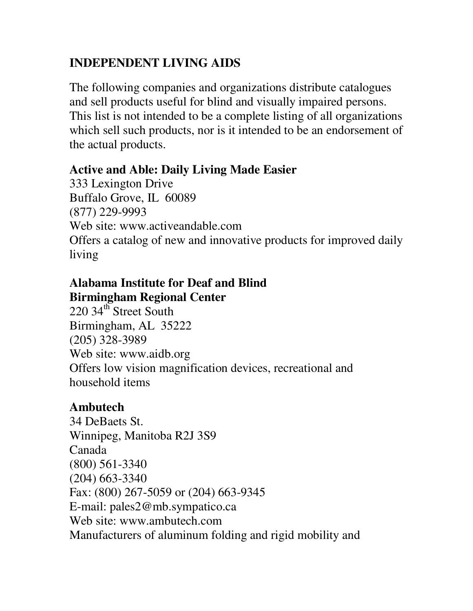# **INDEPENDENT LIVING AIDS**

The following companies and organizations distribute catalogues and sell products useful for blind and visually impaired persons. This list is not intended to be a complete listing of all organizations which sell such products, nor is it intended to be an endorsement of the actual products.

# **Active and Able: Daily Living Made Easier**

333 Lexington Drive Buffalo Grove, IL 60089 (877) 229-9993 Web site: www.activeandable.com Offers a catalog of new and innovative products for improved daily living

# **Alabama Institute for Deaf and Blind Birmingham Regional Center**

220 34<sup>th</sup> Street South Birmingham, AL 35222 (205) 328-3989 Web site: www.aidb.org Offers low vision magnification devices, recreational and household items

# **Ambutech**

34 DeBaets St. Winnipeg, Manitoba R2J 3S9 Canada (800) 561-3340 (204) 663-3340 Fax: (800) 267-5059 or (204) 663-9345 E-mail: pales2@mb.sympatico.ca Web site: www.ambutech.com Manufacturers of aluminum folding and rigid mobility and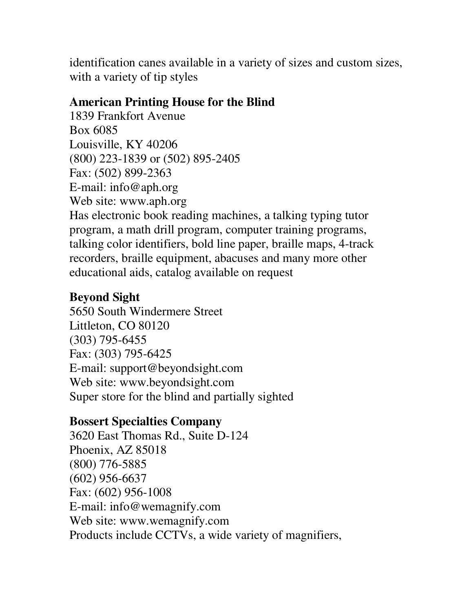identification canes available in a variety of sizes and custom sizes, with a variety of tip styles

# **American Printing House for the Blind**

1839 Frankfort Avenue Box 6085 Louisville, KY 40206 (800) 223-1839 or (502) 895-2405 Fax: (502) 899-2363 E-mail: info@aph.org Web site: www.aph.org Has electronic book reading machines, a talking typing tutor program, a math drill program, computer training programs, talking color identifiers, bold line paper, braille maps, 4-track recorders, braille equipment, abacuses and many more other educational aids, catalog available on request

# **Beyond Sight**

5650 South Windermere Street Littleton, CO 80120 (303) 795-6455 Fax: (303) 795-6425 E-mail: support@beyondsight.com Web site: www.beyondsight.com Super store for the blind and partially sighted

## **Bossert Specialties Company**

3620 East Thomas Rd., Suite D-124 Phoenix, AZ 85018 (800) 776-5885 (602) 956-6637 Fax: (602) 956-1008 E-mail: info@wemagnify.com Web site: www.wemagnify.com Products include CCTVs, a wide variety of magnifiers,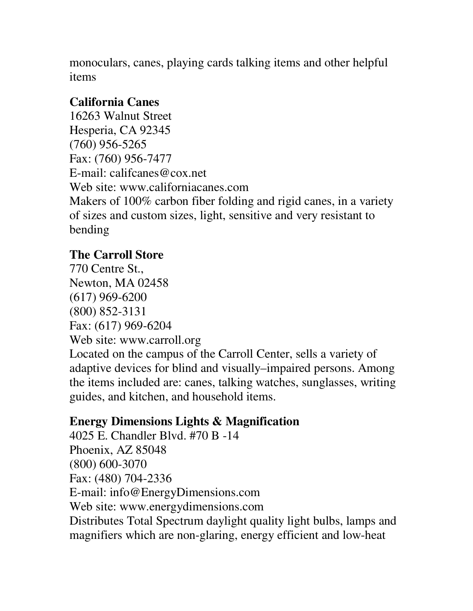monoculars, canes, playing cards talking items and other helpful items

# **California Canes**

16263 Walnut Street Hesperia, CA 92345 (760) 956-5265 Fax: (760) 956-7477 E-mail: califcanes@cox.net Web site: www.californiacanes.com Makers of 100% carbon fiber folding and rigid canes, in a variety of sizes and custom sizes, light, sensitive and very resistant to bending

# **The Carroll Store**

770 Centre St., Newton, MA 02458 (617) 969-6200 (800) 852-3131 Fax: (617) 969-6204 Web site: www.carroll.org Located on the campus of the Carroll Center, sells a variety of adaptive devices for blind and visually–impaired persons. Among the items included are: canes, talking watches, sunglasses, writing

# **Energy Dimensions Lights & Magnification**

guides, and kitchen, and household items.

4025 E. Chandler Blvd. #70 B -14 Phoenix, AZ 85048 (800) 600-3070 Fax: (480) 704-2336 E-mail: info@EnergyDimensions.com Web site: www.energydimensions.com Distributes Total Spectrum daylight quality light bulbs, lamps and magnifiers which are non-glaring, energy efficient and low-heat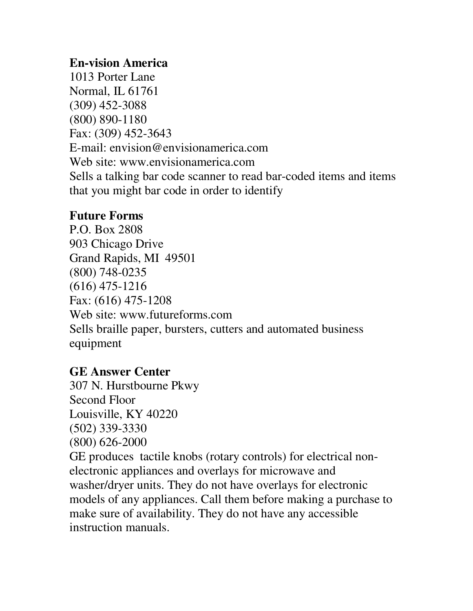## **En-vision America**

1013 Porter Lane Normal, IL 61761 (309) 452-3088 (800) 890-1180 Fax: (309) 452-3643 E-mail: envision@envisionamerica.com Web site: www.envisionamerica.com Sells a talking bar code scanner to read bar-coded items and items that you might bar code in order to identify

# **Future Forms**

P.O. Box 2808 903 Chicago Drive Grand Rapids, MI 49501 (800) 748-0235 (616) 475-1216 Fax: (616) 475-1208 Web site: www.futureforms.com Sells braille paper, bursters, cutters and automated business equipment

## **GE Answer Center**

307 N. Hurstbourne Pkwy Second Floor Louisville, KY 40220 (502) 339-3330 (800) 626-2000 GE produces tactile knobs (rotary controls) for electrical nonelectronic appliances and overlays for microwave and washer/dryer units. They do not have overlays for electronic models of any appliances. Call them before making a purchase to make sure of availability. They do not have any accessible instruction manuals.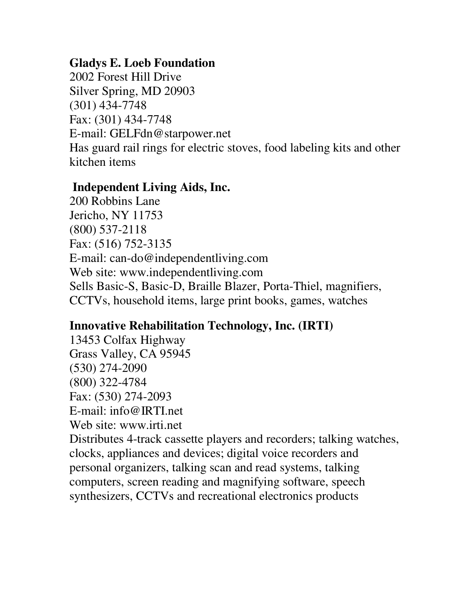## **Gladys E. Loeb Foundation**

2002 Forest Hill Drive Silver Spring, MD 20903 (301) 434-7748 Fax: (301) 434-7748 E-mail: GELFdn@starpower.net Has guard rail rings for electric stoves, food labeling kits and other kitchen items

# **Independent Living Aids, Inc.**

200 Robbins Lane Jericho, NY 11753 (800) 537-2118 Fax: (516) 752-3135 E-mail: can-do@independentliving.com Web site: www.independentliving.com Sells Basic-S, Basic-D, Braille Blazer, Porta-Thiel, magnifiers, CCTVs, household items, large print books, games, watches

# **Innovative Rehabilitation Technology, Inc. (IRTI)**

13453 Colfax Highway Grass Valley, CA 95945 (530) 274-2090 (800) 322-4784 Fax: (530) 274-2093 E-mail: info@IRTI.net Web site: www.irti.net

Distributes 4-track cassette players and recorders; talking watches, clocks, appliances and devices; digital voice recorders and personal organizers, talking scan and read systems, talking computers, screen reading and magnifying software, speech synthesizers, CCTVs and recreational electronics products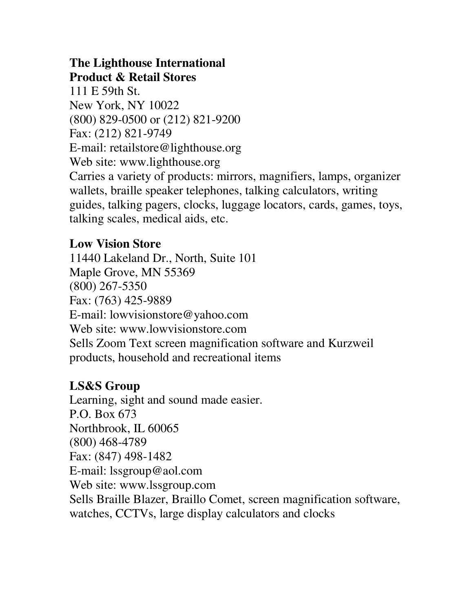# **The Lighthouse International Product & Retail Stores**

111 E 59th St. New York, NY 10022 (800) 829-0500 or (212) 821-9200 Fax: (212) 821-9749 E-mail: retailstore@lighthouse.org Web site: www.lighthouse.org Carries a variety of products: mirrors, magnifiers, lamps, organizer wallets, braille speaker telephones, talking calculators, writing guides, talking pagers, clocks, luggage locators, cards, games, toys, talking scales, medical aids, etc.

# **Low Vision Store**

11440 Lakeland Dr., North, Suite 101 Maple Grove, MN 55369 (800) 267-5350 Fax: (763) 425-9889 E-mail: lowvisionstore@yahoo.com Web site: www.lowvisionstore.com Sells Zoom Text screen magnification software and Kurzweil products, household and recreational items

# **LS&S Group**

Learning, sight and sound made easier. P.O. Box 673 Northbrook, IL 60065 (800) 468-4789 Fax: (847) 498-1482 E-mail: lssgroup@aol.com Web site: www.lssgroup.com Sells Braille Blazer, Braillo Comet, screen magnification software, watches, CCTVs, large display calculators and clocks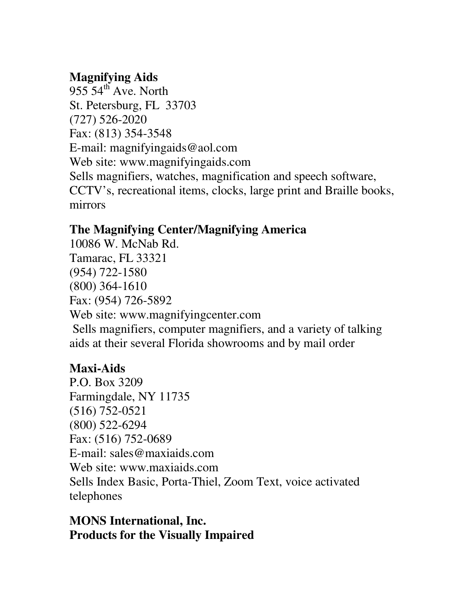# **Magnifying Aids**

 $955\,54^{\text{th}}$  Ave. North St. Petersburg, FL 33703 (727) 526-2020 Fax: (813) 354-3548 E-mail: magnifyingaids@aol.com Web site: www.magnifyingaids.com Sells magnifiers, watches, magnification and speech software, CCTV's, recreational items, clocks, large print and Braille books, mirrors

# **The Magnifying Center/Magnifying America**

10086 W. McNab Rd. Tamarac, FL 33321 (954) 722-1580 (800) 364-1610 Fax: (954) 726-5892 Web site: www.magnifyingcenter.com Sells magnifiers, computer magnifiers, and a variety of talking aids at their several Florida showrooms and by mail order

# **Maxi-Aids**

P.O. Box 3209 Farmingdale, NY 11735 (516) 752-0521 (800) 522-6294 Fax: (516) 752-0689 E-mail: sales@maxiaids.com Web site: www.maxiaids.com Sells Index Basic, Porta-Thiel, Zoom Text, voice activated telephones

**MONS International, Inc. Products for the Visually Impaired**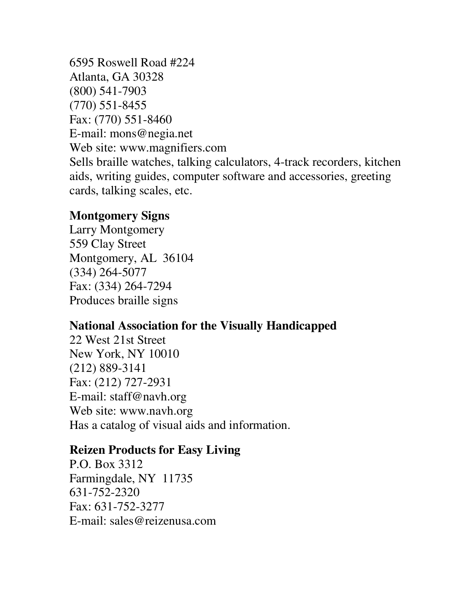6595 Roswell Road #224 Atlanta, GA 30328 (800) 541-7903 (770) 551-8455 Fax: (770) 551-8460 E-mail: mons@negia.net Web site: www.magnifiers.com Sells braille watches, talking calculators, 4-track recorders, kitchen aids, writing guides, computer software and accessories, greeting cards, talking scales, etc.

#### **Montgomery Signs**

Larry Montgomery 559 Clay Street Montgomery, AL 36104 (334) 264-5077 Fax: (334) 264-7294 Produces braille signs

# **National Association for the Visually Handicapped**

22 West 21st Street New York, NY 10010 (212) 889-3141 Fax: (212) 727-2931 E-mail: staff@navh.org Web site: www.navh.org Has a catalog of visual aids and information.

#### **Reizen Products for Easy Living**

P.O. Box 3312 Farmingdale, NY 11735 631-752-2320 Fax: 631-752-3277 E-mail: sales@reizenusa.com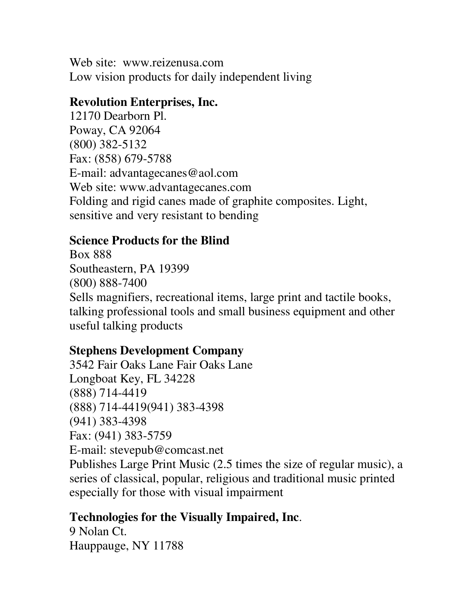Web site: www.reizenusa.com Low vision products for daily independent living

## **Revolution Enterprises, Inc.**

12170 Dearborn Pl. Poway, CA 92064 (800) 382-5132 Fax: (858) 679-5788 E-mail: advantagecanes@aol.com Web site: www.advantagecanes.com Folding and rigid canes made of graphite composites. Light, sensitive and very resistant to bending

# **Science Products for the Blind**

Box 888 Southeastern, PA 19399 (800) 888-7400 Sells magnifiers, recreational items, large print and tactile books, talking professional tools and small business equipment and other useful talking products

# **Stephens Development Company**

3542 Fair Oaks Lane Fair Oaks Lane Longboat Key, FL 34228 (888) 714-4419 (888) 714-4419(941) 383-4398 (941) 383-4398 Fax: (941) 383-5759 E-mail: stevepub@comcast.net Publishes Large Print Music (2.5 times the size of regular music), a series of classical, popular, religious and traditional music printed especially for those with visual impairment

# **Technologies for the Visually Impaired, Inc**.

9 Nolan Ct. Hauppauge, NY 11788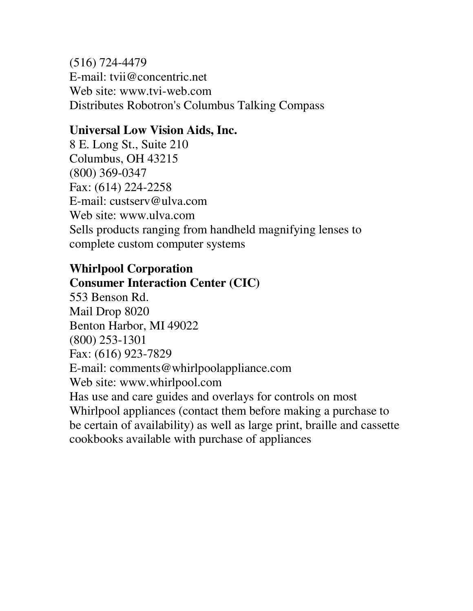(516) 724-4479 E-mail: tvii@concentric.net Web site: www.tvi-web.com Distributes Robotron's Columbus Talking Compass

# **Universal Low Vision Aids, Inc.**

8 E. Long St., Suite 210 Columbus, OH 43215 (800) 369-0347 Fax: (614) 224-2258 E-mail: custserv@ulva.com Web site: www.ulva.com Sells products ranging from handheld magnifying lenses to complete custom computer systems

# **Whirlpool Corporation Consumer Interaction Center (CIC)**

553 Benson Rd. Mail Drop 8020 Benton Harbor, MI 49022 (800) 253-1301 Fax: (616) 923-7829 E-mail: comments@whirlpoolappliance.com Web site: www.whirlpool.com Has use and care guides and overlays for controls on most Whirlpool appliances (contact them before making a purchase to be certain of availability) as well as large print, braille and cassette cookbooks available with purchase of appliances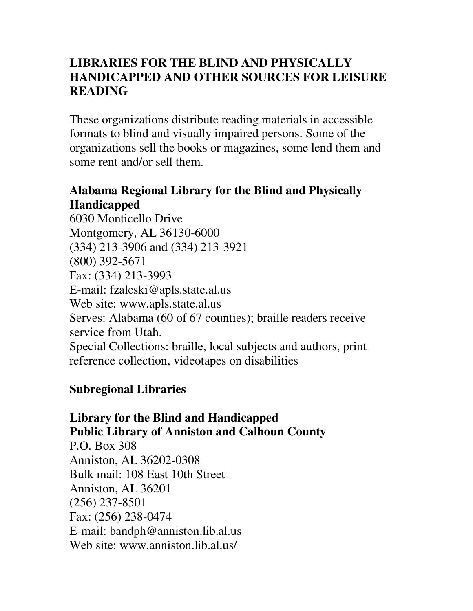# **LIBRARIES FOR THE BLIND AND PHYSICALLY HANDICAPPED AND OTHER SOURCES FOR LEISURE READING**

These organizations distribute reading materials in accessible formats to blind and visually impaired persons. Some of the organizations sell the books or magazines, some lend them and some rent and/or sell them.

# **Alabama Regional Library for the Blind and Physically Handicapped**

6030 Monticello Drive Montgomery, AL 36130-6000 (334) 213-3906 and (334) 213-3921 (800) 392-5671 Fax: (334) 213-3993 E-mail: fzaleski@apls.state.al.us Web site: www.apls.state.al.us Serves: Alabama (60 of 67 counties); braille readers receive service from Utah. Special Collections: braille, local subjects and authors, print reference collection, videotapes on disabilities

# **Subregional Libraries**

# **Library for the Blind and Handicapped Public Library of Anniston and Calhoun County**

P.O. Box 308 Anniston, AL 36202-0308 Bulk mail: 108 East 10th Street Anniston, AL 36201 (256) 237-8501 Fax: (256) 238-0474 E-mail: bandph@anniston.lib.al.us Web site: www.anniston.lib.al.us/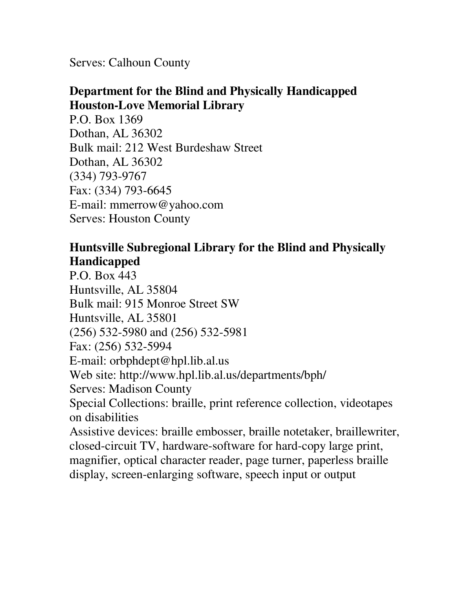Serves: Calhoun County

# **Department for the Blind and Physically Handicapped Houston-Love Memorial Library**

P.O. Box 1369 Dothan, AL 36302 Bulk mail: 212 West Burdeshaw Street Dothan, AL 36302 (334) 793-9767 Fax: (334) 793-6645 E-mail: mmerrow@yahoo.com Serves: Houston County

## **Huntsville Subregional Library for the Blind and Physically Handicapped**

P.O. Box 443 Huntsville, AL 35804 Bulk mail: 915 Monroe Street SW Huntsville, AL 35801 (256) 532-5980 and (256) 532-5981 Fax: (256) 532-5994 E-mail: orbphdept@hpl.lib.al.us Web site: http://www.hpl.lib.al.us/departments/bph/ Serves: Madison County Special Collections: braille, print reference collection, videotapes on disabilities Assistive devices: braille embosser, braille notetaker, braillewriter, closed-circuit TV, hardware-software for hard-copy large print, magnifier, optical character reader, page turner, paperless braille display, screen-enlarging software, speech input or output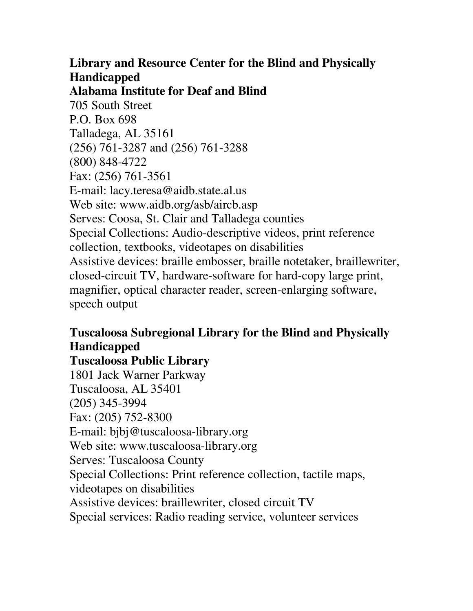# **Library and Resource Center for the Blind and Physically Handicapped**

**Alabama Institute for Deaf and Blind**

705 South Street P.O. Box 698 Talladega, AL 35161 (256) 761-3287 and (256) 761-3288 (800) 848-4722 Fax: (256) 761-3561 E-mail: lacy.teresa@aidb.state.al.us Web site: www.aidb.org/asb/aircb.asp Serves: Coosa, St. Clair and Talladega counties Special Collections: Audio-descriptive videos, print reference collection, textbooks, videotapes on disabilities Assistive devices: braille embosser, braille notetaker, braillewriter, closed-circuit TV, hardware-software for hard-copy large print, magnifier, optical character reader, screen-enlarging software, speech output

# **Tuscaloosa Subregional Library for the Blind and Physically Handicapped**

# **Tuscaloosa Public Library**

1801 Jack Warner Parkway Tuscaloosa, AL 35401 (205) 345-3994 Fax: (205) 752-8300 E-mail: bjbj@tuscaloosa-library.org Web site: www.tuscaloosa-library.org Serves: Tuscaloosa County Special Collections: Print reference collection, tactile maps, videotapes on disabilities Assistive devices: braillewriter, closed circuit TV Special services: Radio reading service, volunteer services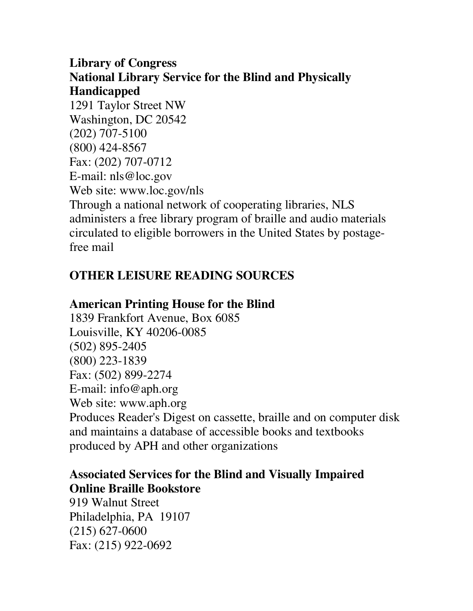## **Library of Congress National Library Service for the Blind and Physically Handicapped**

1291 Taylor Street NW Washington, DC 20542 (202) 707-5100 (800) 424-8567 Fax: (202) 707-0712 E-mail: nls@loc.gov Web site: www.loc.gov/nls Through a national network of cooperating libraries, NLS administers a free library program of braille and audio materials circulated to eligible borrowers in the United States by postagefree mail

# **OTHER LEISURE READING SOURCES**

# **American Printing House for the Blind**

1839 Frankfort Avenue, Box 6085 Louisville, KY 40206-0085 (502) 895-2405 (800) 223-1839 Fax: (502) 899-2274 E-mail: info@aph.org Web site: www.aph.org Produces Reader's Digest on cassette, braille and on computer disk and maintains a database of accessible books and textbooks produced by APH and other organizations

## **Associated Services for the Blind and Visually Impaired Online Braille Bookstore**

919 Walnut Street Philadelphia, PA 19107 (215) 627-0600 Fax: (215) 922-0692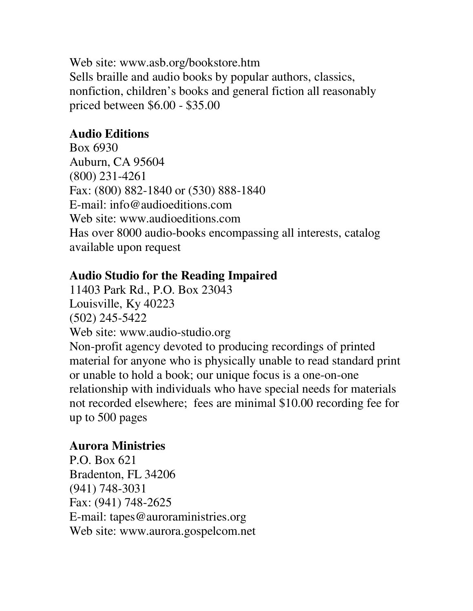Web site: www.asb.org/bookstore.htm Sells braille and audio books by popular authors, classics, nonfiction, children's books and general fiction all reasonably priced between \$6.00 - \$35.00

## **Audio Editions**

Box 6930 Auburn, CA 95604 (800) 231-4261 Fax: (800) 882-1840 or (530) 888-1840 E-mail: info@audioeditions.com Web site: www.audioeditions.com Has over 8000 audio-books encompassing all interests, catalog available upon request

# **Audio Studio for the Reading Impaired**

11403 Park Rd., P.O. Box 23043 Louisville, Ky 40223 (502) 245-5422 Web site: www.audio-studio.org Non-profit agency devoted to producing recordings of printed material for anyone who is physically unable to read standard print or unable to hold a book; our unique focus is a one-on-one relationship with individuals who have special needs for materials not recorded elsewhere; fees are minimal \$10.00 recording fee for up to 500 pages

## **Aurora Ministries**

P.O. Box 621 Bradenton, FL 34206 (941) 748-3031 Fax: (941) 748-2625 E-mail: tapes@auroraministries.org Web site: www.aurora.gospelcom.net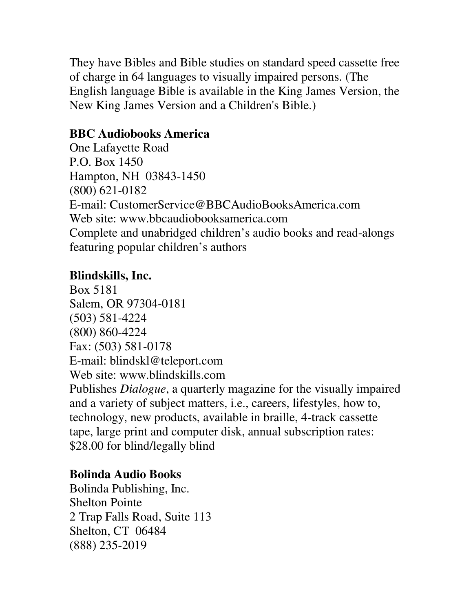They have Bibles and Bible studies on standard speed cassette free of charge in 64 languages to visually impaired persons. (The English language Bible is available in the King James Version, the New King James Version and a Children's Bible.)

## **BBC Audiobooks America**

One Lafayette Road P.O. Box 1450 Hampton, NH 03843-1450 (800) 621-0182 E-mail: CustomerService@BBCAudioBooksAmerica.com Web site: www.bbcaudiobooksamerica.com Complete and unabridged children's audio books and read-alongs featuring popular children's authors

## **Blindskills, Inc.**

Box 5181 Salem, OR 97304-0181 (503) 581-4224 (800) 860-4224 Fax: (503) 581-0178 E-mail: blindskl@teleport.com Web site: www.blindskills.com Publishes *Dialogue*, a quarterly magazine for the visually impaired and a variety of subject matters, i.e., careers, lifestyles, how to, technology, new products, available in braille, 4-track cassette tape, large print and computer disk, annual subscription rates: \$28.00 for blind/legally blind

# **Bolinda Audio Books**

Bolinda Publishing, Inc. Shelton Pointe 2 Trap Falls Road, Suite 113 Shelton, CT 06484 (888) 235-2019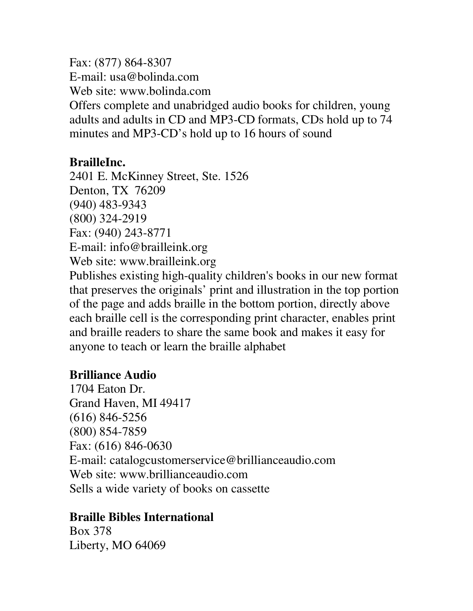Fax: (877) 864-8307 E-mail: usa@bolinda.com Web site: www.bolinda.com Offers complete and unabridged audio books for children, young adults and adults in CD and MP3-CD formats, CDs hold up to 74 minutes and MP3-CD's hold up to 16 hours of sound

## **BrailleInc.**

2401 E. McKinney Street, Ste. 1526 Denton, TX 76209 (940) 483-9343 (800) 324-2919 Fax: (940) 243-8771 E-mail: info@brailleink.org Web site: www.brailleink.org Publishes existing high-quality children's books in our new format that preserves the originals' print and illustration in the top portion of the page and adds braille in the bottom portion, directly above each braille cell is the corresponding print character, enables print and braille readers to share the same book and makes it easy for anyone to teach or learn the braille alphabet

## **Brilliance Audio**

1704 Eaton Dr. Grand Haven, MI 49417 (616) 846-5256 (800) 854-7859 Fax: (616) 846-0630 E-mail: catalogcustomerservice@brillianceaudio.com Web site: www.brillianceaudio.com Sells a wide variety of books on cassette

## **Braille Bibles International**

Box 378 Liberty, MO 64069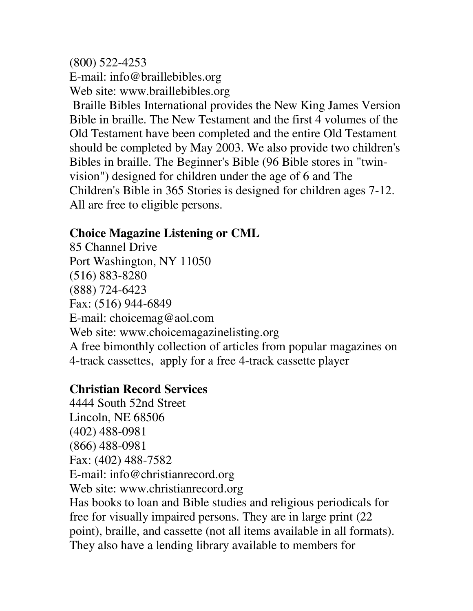(800) 522-4253 E-mail: info@braillebibles.org Web site: www.braillebibles.org Braille Bibles International provides the New King James Version Bible in braille. The New Testament and the first 4 volumes of the Old Testament have been completed and the entire Old Testament should be completed by May 2003. We also provide two children's Bibles in braille. The Beginner's Bible (96 Bible stores in "twinvision") designed for children under the age of 6 and The Children's Bible in 365 Stories is designed for children ages 7-12. All are free to eligible persons.

## **Choice Magazine Listening or CML**

85 Channel Drive Port Washington, NY 11050 (516) 883-8280 (888) 724-6423 Fax: (516) 944-6849 E-mail: choicemag@aol.com Web site: www.choicemagazinelisting.org A free bimonthly collection of articles from popular magazines on 4-track cassettes, apply for a free 4-track cassette player

# **Christian Record Services**

4444 South 52nd Street Lincoln, NE 68506 (402) 488-0981 (866) 488-0981 Fax: (402) 488-7582 E-mail: info@christianrecord.org Web site: www.christianrecord.org Has books to loan and Bible studies and religious periodicals for free for visually impaired persons. They are in large print (22 point), braille, and cassette (not all items available in all formats). They also have a lending library available to members for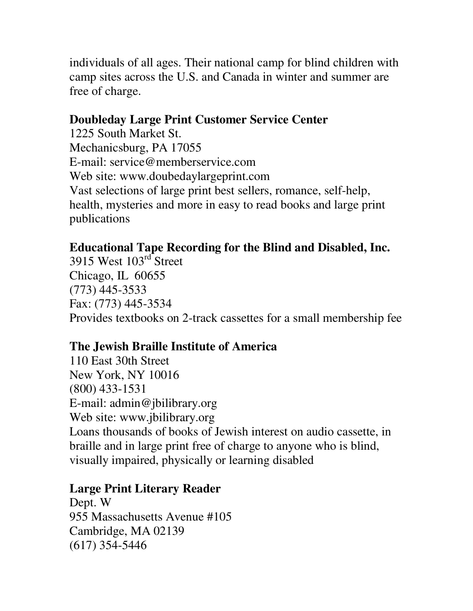individuals of all ages. Their national camp for blind children with camp sites across the U.S. and Canada in winter and summer are free of charge.

### **Doubleday Large Print Customer Service Center**

1225 South Market St. Mechanicsburg, PA 17055 E-mail: service@memberservice.com Web site: www.doubedaylargeprint.com Vast selections of large print best sellers, romance, self-help, health, mysteries and more in easy to read books and large print publications

## **Educational Tape Recording for the Blind and Disabled, Inc.**

3915 West 103<sup>rd</sup> Street Chicago, IL 60655 (773) 445-3533 Fax: (773) 445-3534 Provides textbooks on 2-track cassettes for a small membership fee

# **The Jewish Braille Institute of America**

110 East 30th Street New York, NY 10016 (800) 433-1531 E-mail: admin@jbilibrary.org Web site: www.jbilibrary.org Loans thousands of books of Jewish interest on audio cassette, in braille and in large print free of charge to anyone who is blind, visually impaired, physically or learning disabled

## **Large Print Literary Reader**

Dept. W 955 Massachusetts Avenue #105 Cambridge, MA 02139 (617) 354-5446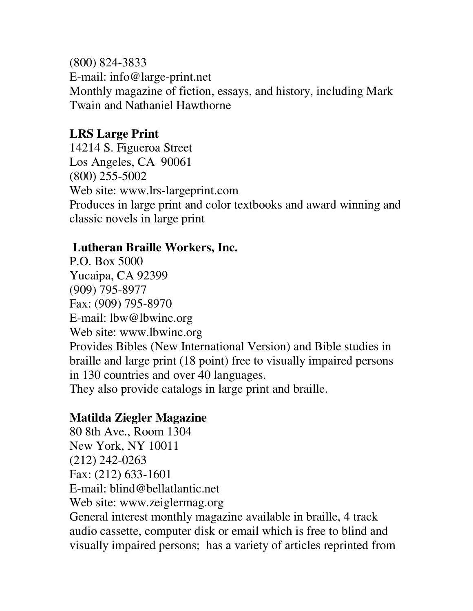(800) 824-3833 E-mail: info@large-print.net Monthly magazine of fiction, essays, and history, including Mark Twain and Nathaniel Hawthorne

#### **LRS Large Print**

14214 S. Figueroa Street Los Angeles, CA 90061 (800) 255-5002 Web site: www.lrs-largeprint.com Produces in large print and color textbooks and award winning and classic novels in large print

#### **Lutheran Braille Workers, Inc.**

P.O. Box 5000 Yucaipa, CA 92399 (909) 795-8977 Fax: (909) 795-8970 E-mail: lbw@lbwinc.org Web site: www.lbwinc.org Provides Bibles (New International Version) and Bible studies in braille and large print (18 point) free to visually impaired persons in 130 countries and over 40 languages. They also provide catalogs in large print and braille.

### **Matilda Ziegler Magazine**

80 8th Ave., Room 1304 New York, NY 10011 (212) 242-0263 Fax: (212) 633-1601 E-mail: blind@bellatlantic.net Web site: www.zeiglermag.org General interest monthly magazine available in braille, 4 track audio cassette, computer disk or email which is free to blind and visually impaired persons; has a variety of articles reprinted from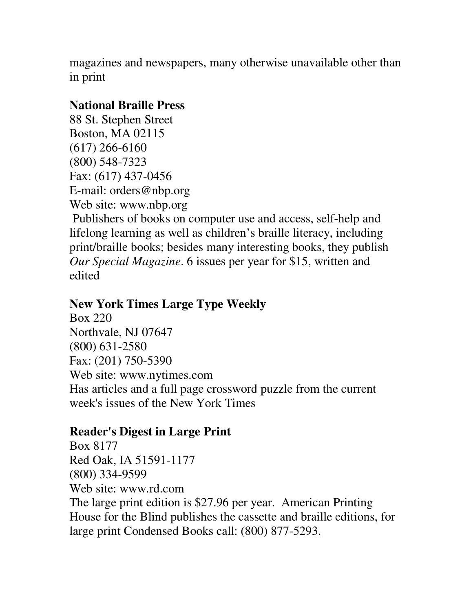magazines and newspapers, many otherwise unavailable other than in print

### **National Braille Press**

88 St. Stephen Street Boston, MA 02115 (617) 266-6160 (800) 548-7323 Fax: (617) 437-0456 E-mail: orders@nbp.org Web site: www.nbp.org Publishers of books on computer use and access, self-help and lifelong learning as well as children's braille literacy, including print/braille books; besides many interesting books, they publish *Our Special Magazine*. 6 issues per year for \$15, written and edited

### **New York Times Large Type Weekly**

Box 220 Northvale, NJ 07647 (800) 631-2580 Fax: (201) 750-5390 Web site: www.nytimes.com Has articles and a full page crossword puzzle from the current week's issues of the New York Times

## **Reader's Digest in Large Print**

Box 8177 Red Oak, IA 51591-1177 (800) 334-9599 Web site: www.rd.com The large print edition is \$27.96 per year. American Printing House for the Blind publishes the cassette and braille editions, for large print Condensed Books call: (800) 877-5293.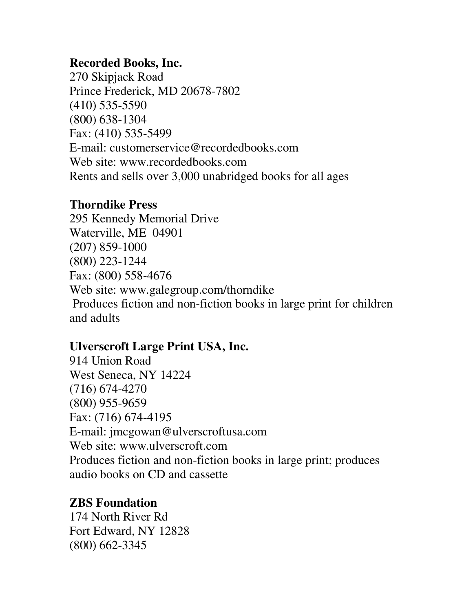### **Recorded Books, Inc.**

270 Skipjack Road Prince Frederick, MD 20678-7802 (410) 535-5590 (800) 638-1304 Fax: (410) 535-5499 E-mail: customerservice@recordedbooks.com Web site: www.recordedbooks.com Rents and sells over 3,000 unabridged books for all ages

### **Thorndike Press**

295 Kennedy Memorial Drive Waterville, ME 04901 (207) 859-1000 (800) 223-1244 Fax: (800) 558-4676 Web site: www.galegroup.com/thorndike Produces fiction and non-fiction books in large print for children and adults

## **Ulverscroft Large Print USA, Inc.**

914 Union Road West Seneca, NY 14224 (716) 674-4270 (800) 955-9659 Fax: (716) 674-4195 E-mail: jmcgowan@ulverscroftusa.com Web site: www.ulverscroft.com Produces fiction and non-fiction books in large print; produces audio books on CD and cassette

### **ZBS Foundation**

174 North River Rd Fort Edward, NY 12828 (800) 662-3345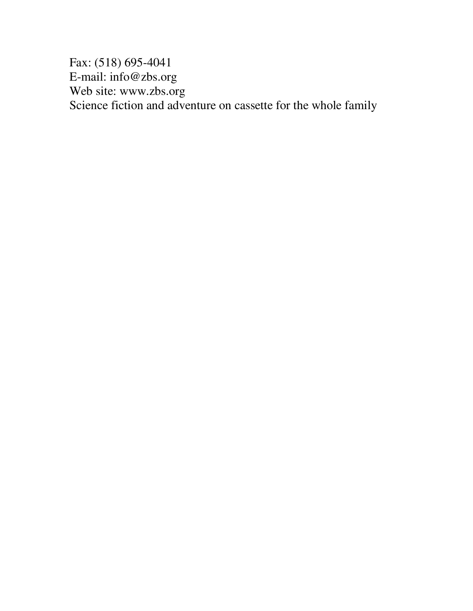Fax: (518) 695-4041 E-mail: info@zbs.org Web site: www.zbs.org Science fiction and adventure on cassette for the whole family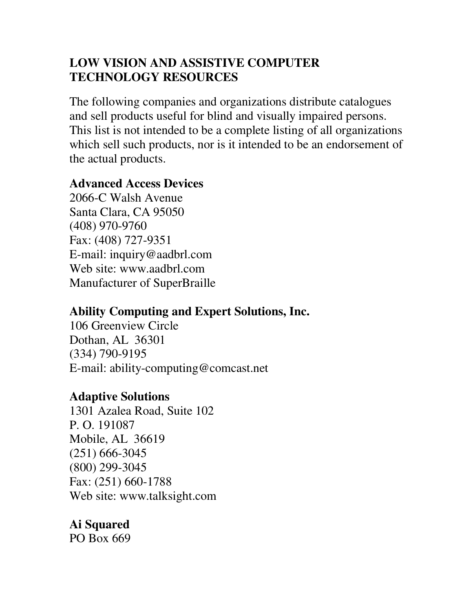## **LOW VISION AND ASSISTIVE COMPUTER TECHNOLOGY RESOURCES**

The following companies and organizations distribute catalogues and sell products useful for blind and visually impaired persons. This list is not intended to be a complete listing of all organizations which sell such products, nor is it intended to be an endorsement of the actual products.

### **Advanced Access Devices**

2066-C Walsh Avenue Santa Clara, CA 95050 (408) 970-9760 Fax: (408) 727-9351 E-mail: inquiry@aadbrl.com Web site: www.aadbrl.com Manufacturer of SuperBraille

# **Ability Computing and Expert Solutions, Inc.**

106 Greenview Circle Dothan, AL 36301 (334) 790-9195 E-mail: ability-computing@comcast.net

## **Adaptive Solutions**

1301 Azalea Road, Suite 102 P. O. 191087 Mobile, AL 36619 (251) 666-3045 (800) 299-3045 Fax: (251) 660-1788 Web site: www.talksight.com

# **Ai Squared**

PO Box 669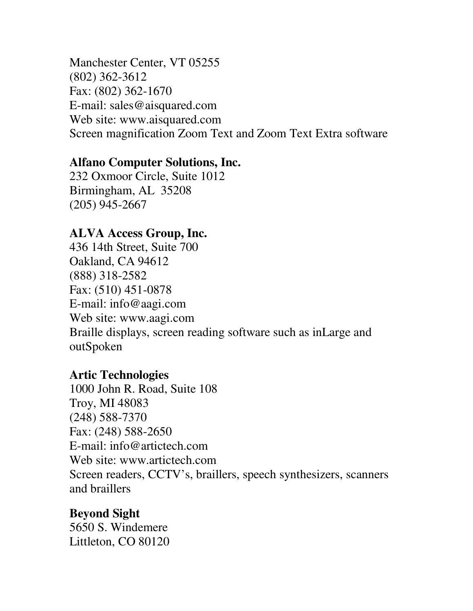Manchester Center, VT 05255 (802) 362-3612 Fax: (802) 362-1670 E-mail: sales@aisquared.com Web site: www.aisquared.com Screen magnification Zoom Text and Zoom Text Extra software

#### **Alfano Computer Solutions, Inc.**

232 Oxmoor Circle, Suite 1012 Birmingham, AL 35208 (205) 945-2667

#### **ALVA Access Group, Inc.**

436 14th Street, Suite 700 Oakland, CA 94612 (888) 318-2582 Fax: (510) 451-0878 E-mail: info@aagi.com Web site: www.aagi.com Braille displays, screen reading software such as inLarge and outSpoken

#### **Artic Technologies**

1000 John R. Road, Suite 108 Troy, MI 48083 (248) 588-7370 Fax: (248) 588-2650 E-mail: info@artictech.com Web site: www.artictech.com Screen readers, CCTV's, braillers, speech synthesizers, scanners and braillers

#### **Beyond Sight**

5650 S. Windemere Littleton, CO 80120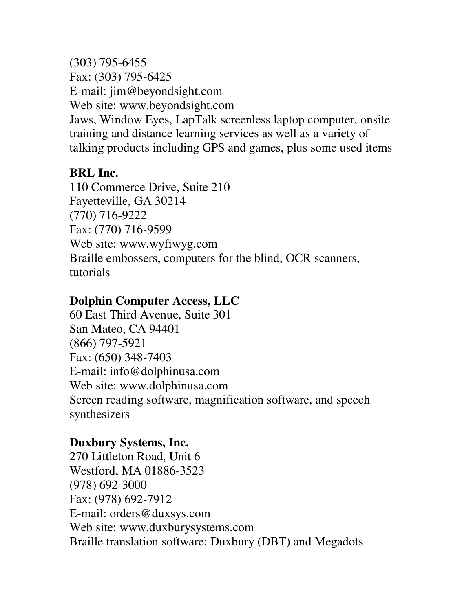(303) 795-6455 Fax: (303) 795-6425 E-mail: jim@beyondsight.com Web site: www.beyondsight.com Jaws, Window Eyes, LapTalk screenless laptop computer, onsite training and distance learning services as well as a variety of talking products including GPS and games, plus some used items

## **BRL Inc.**

110 Commerce Drive, Suite 210 Fayetteville, GA 30214 (770) 716-9222 Fax: (770) 716-9599 Web site: www.wyfiwyg.com Braille embossers, computers for the blind, OCR scanners, tutorials

# **Dolphin Computer Access, LLC**

60 East Third Avenue, Suite 301 San Mateo, CA 94401 (866) 797-5921 Fax: (650) 348-7403 E-mail: info@dolphinusa.com Web site: www.dolphinusa.com Screen reading software, magnification software, and speech synthesizers

## **Duxbury Systems, Inc.**

270 Littleton Road, Unit 6 Westford, MA 01886-3523 (978) 692-3000 Fax: (978) 692-7912 E-mail: orders@duxsys.com Web site: www.duxburysystems.com Braille translation software: Duxbury (DBT) and Megadots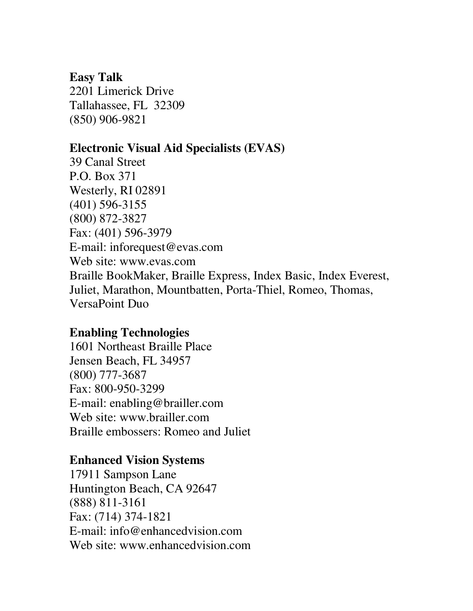#### **Easy Talk**

2201 Limerick Drive Tallahassee, FL 32309 (850) 906-9821

### **Electronic Visual Aid Specialists (EVAS)**

39 Canal Street P.O. Box 371 Westerly, RI 02891 (401) 596-3155 (800) 872-3827 Fax: (401) 596-3979 E-mail: inforequest@evas.com Web site: www.evas.com Braille BookMaker, Braille Express, Index Basic, Index Everest, Juliet, Marathon, Mountbatten, Porta-Thiel, Romeo, Thomas, VersaPoint Duo

### **Enabling Technologies**

1601 Northeast Braille Place Jensen Beach, FL 34957 (800) 777-3687 Fax: 800-950-3299 E-mail: enabling@brailler.com Web site: www.brailler.com Braille embossers: Romeo and Juliet

#### **Enhanced Vision Systems**

17911 Sampson Lane Huntington Beach, CA 92647 (888) 811-3161 Fax: (714) 374-1821 E-mail: info@enhancedvision.com Web site: www.enhancedvision.com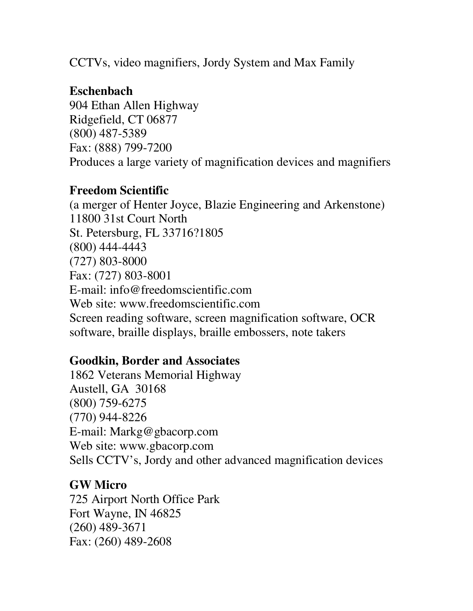CCTVs, video magnifiers, Jordy System and Max Family

## **Eschenbach**

904 Ethan Allen Highway Ridgefield, CT 06877 (800) 487-5389 Fax: (888) 799-7200 Produces a large variety of magnification devices and magnifiers

## **Freedom Scientific**

(a merger of Henter Joyce, Blazie Engineering and Arkenstone) 11800 31st Court North St. Petersburg, FL 33716?1805 (800) 444-4443 (727) 803-8000 Fax: (727) 803-8001 E-mail: info@freedomscientific.com Web site: www.freedomscientific.com Screen reading software, screen magnification software, OCR software, braille displays, braille embossers, note takers

# **Goodkin, Border and Associates**

1862 Veterans Memorial Highway Austell, GA 30168 (800) 759-6275 (770) 944-8226 E-mail: Markg@gbacorp.com Web site: www.gbacorp.com Sells CCTV's, Jordy and other advanced magnification devices

## **GW Micro**

725 Airport North Office Park Fort Wayne, IN 46825 (260) 489-3671 Fax: (260) 489-2608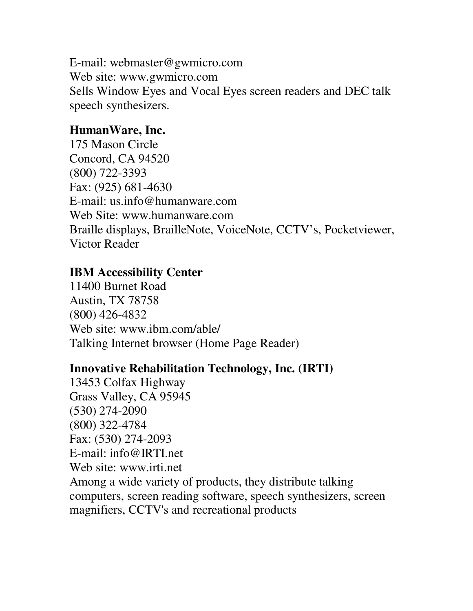E-mail: webmaster@gwmicro.com Web site: www.gwmicro.com Sells Window Eyes and Vocal Eyes screen readers and DEC talk speech synthesizers.

### **HumanWare, Inc.**

175 Mason Circle Concord, CA 94520 (800) 722-3393 Fax: (925) 681-4630 E-mail: us.info@humanware.com Web Site: www.humanware.com Braille displays, BrailleNote, VoiceNote, CCTV's, Pocketviewer, Victor Reader

#### **IBM Accessibility Center**

11400 Burnet Road Austin, TX 78758 (800) 426-4832 Web site: www.ibm.com/able/ Talking Internet browser (Home Page Reader)

#### **Innovative Rehabilitation Technology, Inc. (IRTI)**

13453 Colfax Highway Grass Valley, CA 95945 (530) 274-2090 (800) 322-4784 Fax: (530) 274-2093 E-mail: info@IRTI.net Web site: www.irti.net Among a wide variety of products, they distribute talking computers, screen reading software, speech synthesizers, screen magnifiers, CCTV's and recreational products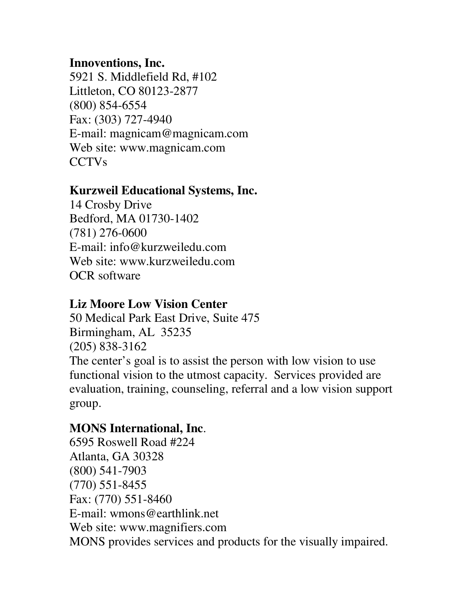### **Innoventions, Inc.**

5921 S. Middlefield Rd, #102 Littleton, CO 80123-2877 (800) 854-6554 Fax: (303) 727-4940 E-mail: magnicam@magnicam.com Web site: www.magnicam.com CCTVs

### **Kurzweil Educational Systems, Inc.**

14 Crosby Drive Bedford, MA 01730-1402 (781) 276-0600 E-mail: info@kurzweiledu.com Web site: www.kurzweiledu.com OCR software

### **Liz Moore Low Vision Center**

50 Medical Park East Drive, Suite 475 Birmingham, AL 35235 (205) 838-3162 The center's goal is to assist the person with low vision to use functional vision to the utmost capacity. Services provided are evaluation, training, counseling, referral and a low vision support group.

## **MONS International, Inc**.

6595 Roswell Road #224 Atlanta, GA 30328 (800) 541-7903 (770) 551-8455 Fax: (770) 551-8460 E-mail: wmons@earthlink.net Web site: www.magnifiers.com MONS provides services and products for the visually impaired.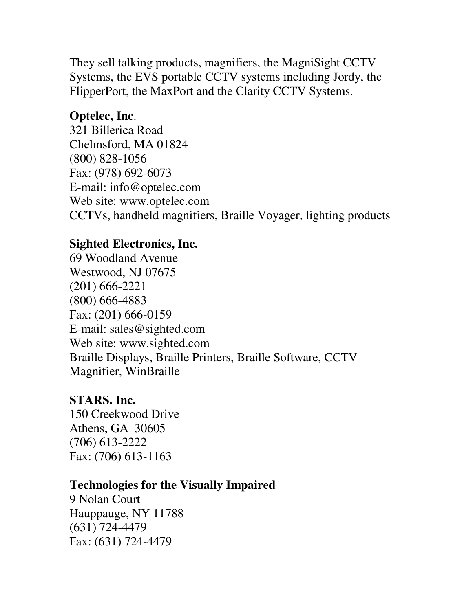They sell talking products, magnifiers, the MagniSight CCTV Systems, the EVS portable CCTV systems including Jordy, the FlipperPort, the MaxPort and the Clarity CCTV Systems.

# **Optelec, Inc**.

321 Billerica Road Chelmsford, MA 01824 (800) 828-1056 Fax: (978) 692-6073 E-mail: info@optelec.com Web site: www.optelec.com CCTVs, handheld magnifiers, Braille Voyager, lighting products

# **Sighted Electronics, Inc.**

69 Woodland Avenue Westwood, NJ 07675 (201) 666-2221 (800) 666-4883 Fax: (201) 666-0159 E-mail: sales@sighted.com Web site: www.sighted.com Braille Displays, Braille Printers, Braille Software, CCTV Magnifier, WinBraille

## **STARS. Inc.**

150 Creekwood Drive Athens, GA 30605 (706) 613-2222 Fax: (706) 613-1163

## **Technologies for the Visually Impaired**

9 Nolan Court Hauppauge, NY 11788 (631) 724-4479 Fax: (631) 724-4479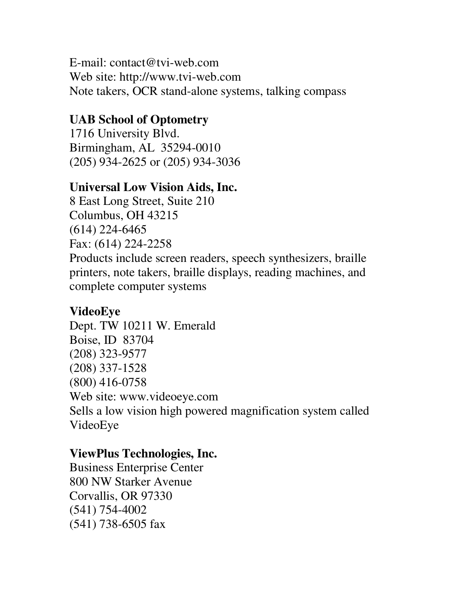E-mail: contact@tvi-web.com Web site: http://www.tvi-web.com Note takers, OCR stand-alone systems, talking compass

### **UAB School of Optometry**

1716 University Blvd. Birmingham, AL 35294-0010 (205) 934-2625 or (205) 934-3036

#### **Universal Low Vision Aids, Inc.**

8 East Long Street, Suite 210 Columbus, OH 43215 (614) 224-6465 Fax: (614) 224-2258 Products include screen readers, speech synthesizers, braille printers, note takers, braille displays, reading machines, and complete computer systems

#### **VideoEye**

Dept. TW 10211 W. Emerald Boise, ID 83704 (208) 323-9577 (208) 337-1528 (800) 416-0758 Web site: www.videoeye.com Sells a low vision high powered magnification system called VideoEye

### **ViewPlus Technologies, Inc.**

Business Enterprise Center 800 NW Starker Avenue Corvallis, OR 97330 (541) 754-4002 (541) 738-6505 fax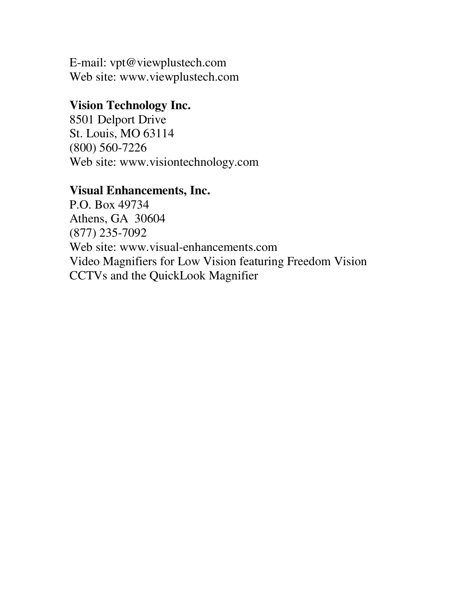E-mail: vpt@viewplustech.com Web site: www.viewplustech.com

#### **Vision Technology Inc.**

8501 Delport Drive St. Louis, MO 63114 (800) 560-7226 Web site: www.visiontechnology.com

#### **Visual Enhancements, Inc.**

P.O. Box 49734 Athens, GA 30604 (877) 235-7092 Web site: www.visual-enhancements.com Video Magnifiers for Low Vision featuring Freedom Vision CCTVs and the QuickLook Magnifier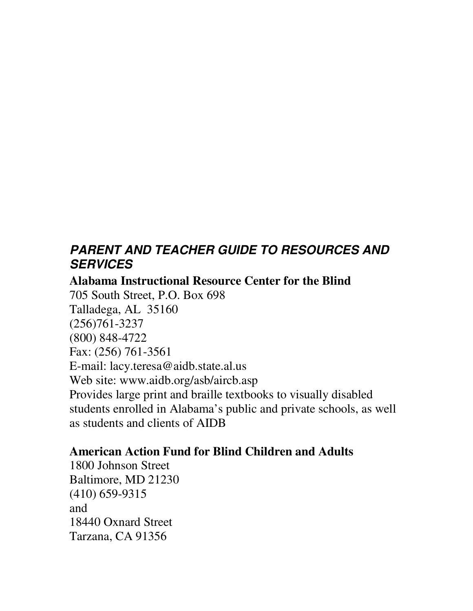# *PARENT AND TEACHER GUIDE TO RESOURCES AND SERVICES*

**Alabama Instructional Resource Center for the Blind** 705 South Street, P.O. Box 698 Talladega, AL 35160 (256)761-3237 (800) 848-4722 Fax: (256) 761-3561 E-mail: lacy.teresa@aidb.state.al.us Web site: www.aidb.org/asb/aircb.asp Provides large print and braille textbooks to visually disabled students enrolled in Alabama's public and private schools, as well as students and clients of AIDB

## **American Action Fund for Blind Children and Adults**

1800 Johnson Street Baltimore, MD 21230 (410) 659-9315 and 18440 Oxnard Street Tarzana, CA 91356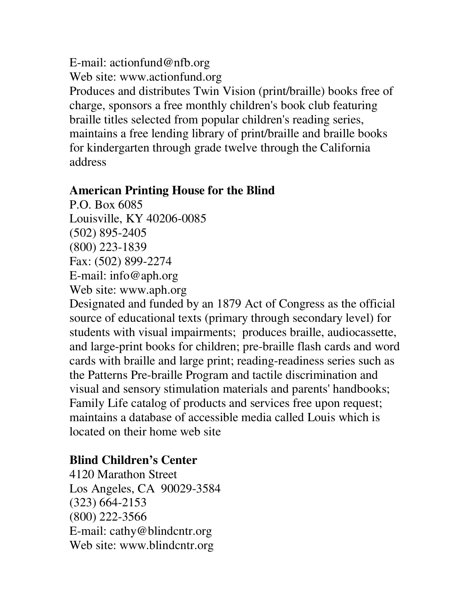E-mail: actionfund@nfb.org Web site: www.actionfund.org Produces and distributes Twin Vision (print/braille) books free of charge, sponsors a free monthly children's book club featuring braille titles selected from popular children's reading series, maintains a free lending library of print/braille and braille books for kindergarten through grade twelve through the California address

#### **American Printing House for the Blind**

P.O. Box 6085 Louisville, KY 40206-0085 (502) 895-2405 (800) 223-1839 Fax: (502) 899-2274 E-mail: info@aph.org Web site: www.aph.org

Designated and funded by an 1879 Act of Congress as the official source of educational texts (primary through secondary level) for students with visual impairments; produces braille, audiocassette, and large-print books for children; pre-braille flash cards and word cards with braille and large print; reading-readiness series such as the Patterns Pre-braille Program and tactile discrimination and visual and sensory stimulation materials and parents' handbooks; Family Life catalog of products and services free upon request; maintains a database of accessible media called Louis which is located on their home web site

#### **Blind Children's Center**

4120 Marathon Street Los Angeles, CA 90029-3584 (323) 664-2153 (800) 222-3566 E-mail: cathy@blindcntr.org Web site: www.blindcntr.org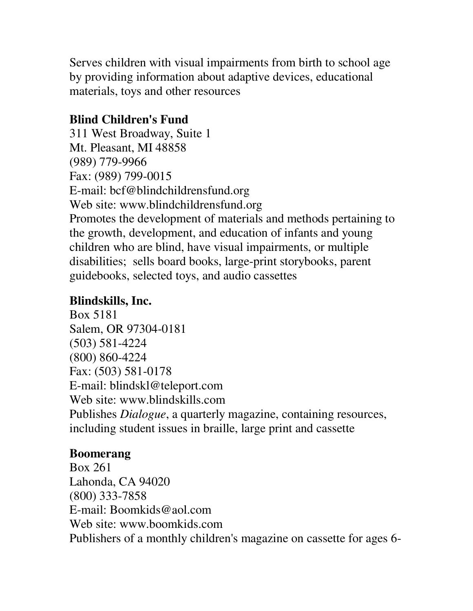Serves children with visual impairments from birth to school age by providing information about adaptive devices, educational materials, toys and other resources

# **Blind Children's Fund**

311 West Broadway, Suite 1 Mt. Pleasant, MI 48858 (989) 779-9966 Fax: (989) 799-0015 E-mail: bcf@blindchildrensfund.org Web site: www.blindchildrensfund.org Promotes the development of materials and methods pertaining to the growth, development, and education of infants and young children who are blind, have visual impairments, or multiple disabilities; sells board books, large-print storybooks, parent guidebooks, selected toys, and audio cassettes

# **Blindskills, Inc.**

Box 5181 Salem, OR 97304-0181 (503) 581-4224 (800) 860-4224 Fax: (503) 581-0178 E-mail: blindskl@teleport.com Web site: www.blindskills.com Publishes *Dialogue*, a quarterly magazine, containing resources, including student issues in braille, large print and cassette

# **Boomerang**

Box 261 Lahonda, CA 94020 (800) 333-7858 E-mail: Boomkids@aol.com Web site: www.boomkids.com Publishers of a monthly children's magazine on cassette for ages 6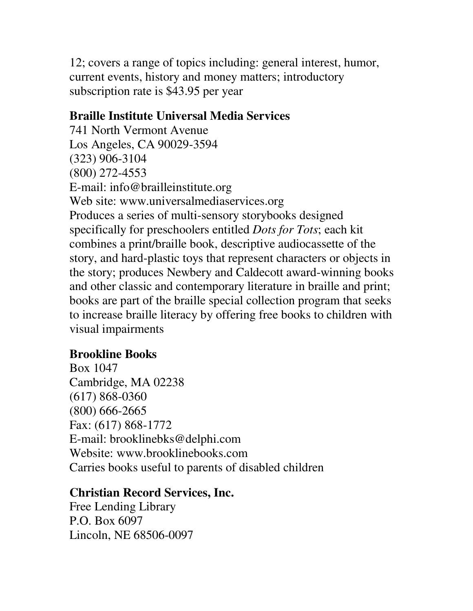12; covers a range of topics including: general interest, humor, current events, history and money matters; introductory subscription rate is \$43.95 per year

### **Braille Institute Universal Media Services**

741 North Vermont Avenue Los Angeles, CA 90029-3594 (323) 906-3104 (800) 272-4553 E-mail: info@brailleinstitute.org Web site: www.universalmediaservices.org Produces a series of multi-sensory storybooks designed specifically for preschoolers entitled *Dots for Tots*; each kit combines a print/braille book, descriptive audiocassette of the story, and hard-plastic toys that represent characters or objects in the story; produces Newbery and Caldecott award-winning books and other classic and contemporary literature in braille and print; books are part of the braille special collection program that seeks to increase braille literacy by offering free books to children with visual impairments

## **Brookline Books**

Box 1047 Cambridge, MA 02238 (617) 868-0360 (800) 666-2665 Fax: (617) 868-1772 E-mail: brooklinebks@delphi.com Website: www.brooklinebooks.com Carries books useful to parents of disabled children

## **Christian Record Services, Inc.**

Free Lending Library P.O. Box 6097 Lincoln, NE 68506-0097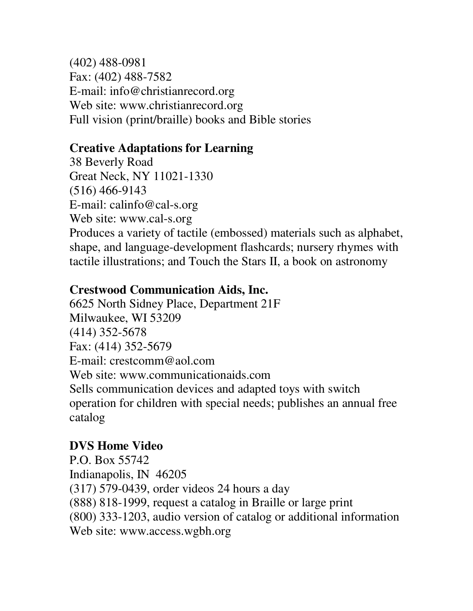(402) 488-0981 Fax: (402) 488-7582 E-mail: info@christianrecord.org Web site: www.christianrecord.org Full vision (print/braille) books and Bible stories

## **Creative Adaptations for Learning**

38 Beverly Road Great Neck, NY 11021-1330 (516) 466-9143 E-mail: calinfo@cal-s.org Web site: www.cal-s.org Produces a variety of tactile (embossed) materials such as alphabet, shape, and language-development flashcards; nursery rhymes with tactile illustrations; and Touch the Stars II, a book on astronomy

### **Crestwood Communication Aids, Inc.**

6625 North Sidney Place, Department 21F Milwaukee, WI 53209 (414) 352-5678 Fax: (414) 352-5679 E-mail: crestcomm@aol.com Web site: www.communicationaids.com Sells communication devices and adapted toys with switch operation for children with special needs; publishes an annual free catalog

## **DVS Home Video**

P.O. Box 55742 Indianapolis, IN 46205 (317) 579-0439, order videos 24 hours a day (888) 818-1999, request a catalog in Braille or large print (800) 333-1203, audio version of catalog or additional information Web site: www.access.wgbh.org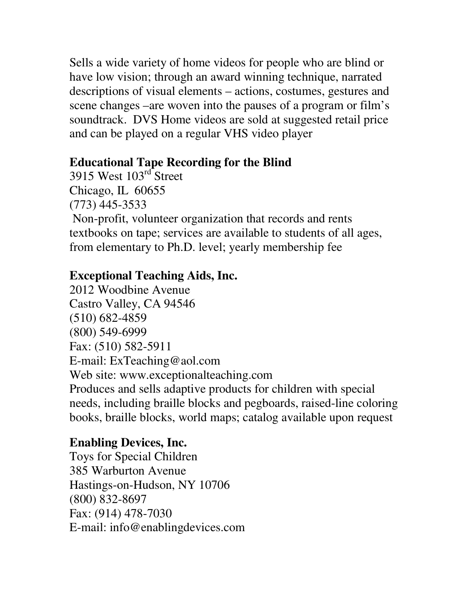Sells a wide variety of home videos for people who are blind or have low vision; through an award winning technique, narrated descriptions of visual elements – actions, costumes, gestures and scene changes –are woven into the pauses of a program or film's soundtrack. DVS Home videos are sold at suggested retail price and can be played on a regular VHS video player

## **Educational Tape Recording for the Blind**

3915 West 103<sup>rd</sup> Street Chicago, IL 60655 (773) 445-3533 Non-profit, volunteer organization that records and rents textbooks on tape; services are available to students of all ages, from elementary to Ph.D. level; yearly membership fee

# **Exceptional Teaching Aids, Inc.**

2012 Woodbine Avenue Castro Valley, CA 94546 (510) 682-4859 (800) 549-6999 Fax: (510) 582-5911 E-mail: ExTeaching@aol.com Web site: www.exceptionalteaching.com Produces and sells adaptive products for children with special needs, including braille blocks and pegboards, raised-line coloring books, braille blocks, world maps; catalog available upon request

# **Enabling Devices, Inc.**

Toys for Special Children 385 Warburton Avenue Hastings-on-Hudson, NY 10706 (800) 832-8697 Fax: (914) 478-7030 E-mail: info@enablingdevices.com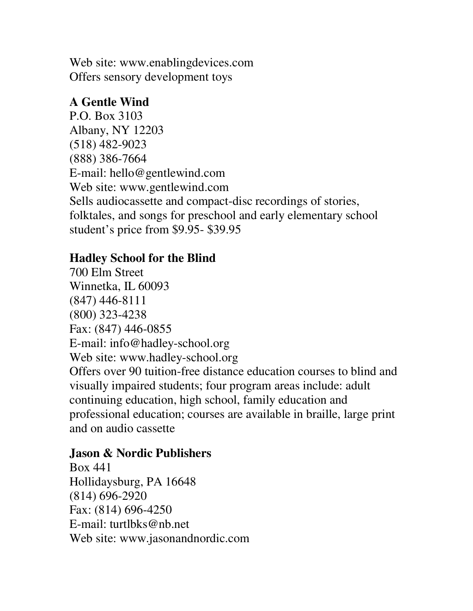Web site: www.enablingdevices.com Offers sensory development toys

## **A Gentle Wind**

P.O. Box 3103 Albany, NY 12203 (518) 482-9023 (888) 386-7664 E-mail: hello@gentlewind.com Web site: www.gentlewind.com Sells audiocassette and compact-disc recordings of stories, folktales, and songs for preschool and early elementary school student's price from \$9.95- \$39.95

## **Hadley School for the Blind**

700 Elm Street Winnetka, IL 60093 (847) 446-8111 (800) 323-4238 Fax: (847) 446-0855 E-mail: info@hadley-school.org Web site: www.hadley-school.org Offers over 90 tuition-free distance education courses to blind and visually impaired students; four program areas include: adult continuing education, high school, family education and professional education; courses are available in braille, large print and on audio cassette

# **Jason & Nordic Publishers**

Box 441 Hollidaysburg, PA 16648 (814) 696-2920 Fax: (814) 696-4250 E-mail: turtlbks@nb.net Web site: www.jasonandnordic.com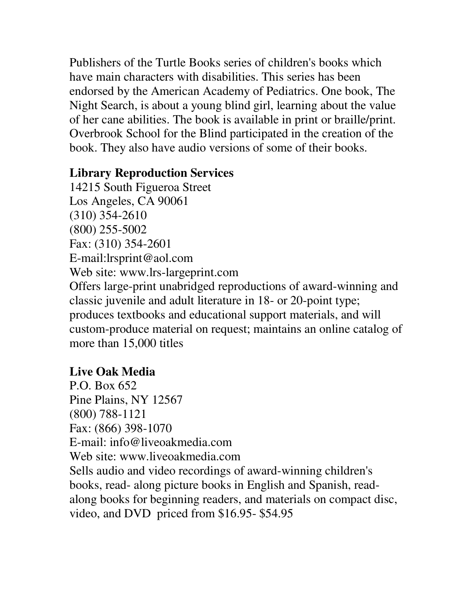Publishers of the Turtle Books series of children's books which have main characters with disabilities. This series has been endorsed by the American Academy of Pediatrics. One book, The Night Search, is about a young blind girl, learning about the value of her cane abilities. The book is available in print or braille/print. Overbrook School for the Blind participated in the creation of the book. They also have audio versions of some of their books.

### **Library Reproduction Services**

14215 South Figueroa Street Los Angeles, CA 90061 (310) 354-2610 (800) 255-5002 Fax: (310) 354-2601 E-mail:lrsprint@aol.com Web site: www.lrs-largeprint.com Offers large-print unabridged reproductions of award-winning and classic juvenile and adult literature in 18- or 20-point type; produces textbooks and educational support materials, and will custom-produce material on request; maintains an online catalog of more than 15,000 titles

## **Live Oak Media**

P.O. Box 652 Pine Plains, NY 12567 (800) 788-1121 Fax: (866) 398-1070 E-mail: info@liveoakmedia.com Web site: www.liveoakmedia.com Sells audio and video recordings of award-winning children's books, read- along picture books in English and Spanish, readalong books for beginning readers, and materials on compact disc, video, and DVD priced from \$16.95- \$54.95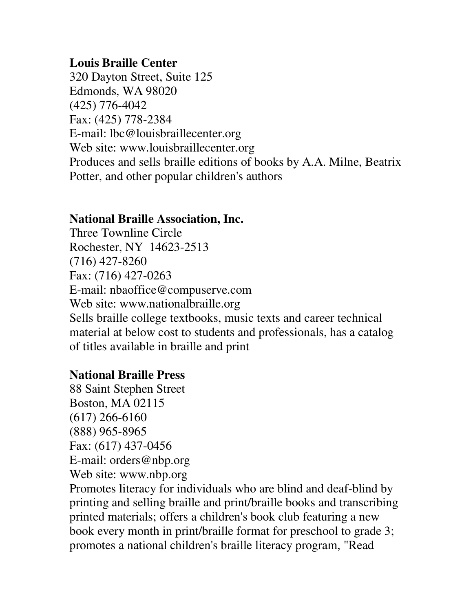### **Louis Braille Center**

320 Dayton Street, Suite 125 Edmonds, WA 98020 (425) 776-4042 Fax: (425) 778-2384 E-mail: lbc@louisbraillecenter.org Web site: www.louisbraillecenter.org Produces and sells braille editions of books by A.A. Milne, Beatrix Potter, and other popular children's authors

### **National Braille Association, Inc.**

Three Townline Circle Rochester, NY 14623-2513 (716) 427-8260 Fax: (716) 427-0263 E-mail: nbaoffice@compuserve.com Web site: www.nationalbraille.org Sells braille college textbooks, music texts and career technical material at below cost to students and professionals, has a catalog of titles available in braille and print

## **National Braille Press**

88 Saint Stephen Street Boston, MA 02115 (617) 266-6160 (888) 965-8965 Fax: (617) 437-0456 E-mail: orders@nbp.org Web site: www.nbp.org

Promotes literacy for individuals who are blind and deaf-blind by printing and selling braille and print/braille books and transcribing printed materials; offers a children's book club featuring a new book every month in print/braille format for preschool to grade 3; promotes a national children's braille literacy program, "Read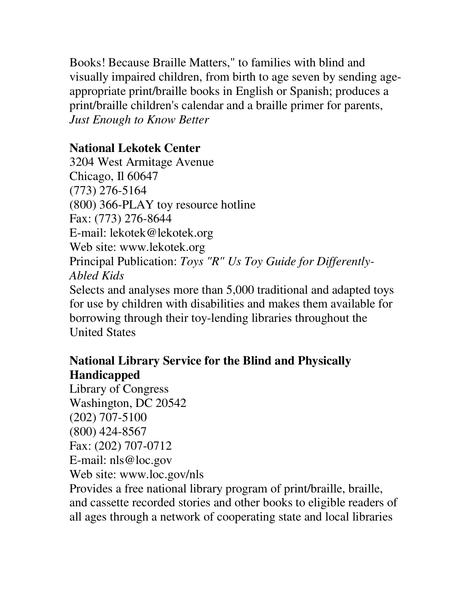Books! Because Braille Matters," to families with blind and visually impaired children, from birth to age seven by sending ageappropriate print/braille books in English or Spanish; produces a print/braille children's calendar and a braille primer for parents, *Just Enough to Know Better*

## **National Lekotek Center**

3204 West Armitage Avenue Chicago, Il 60647 (773) 276-5164 (800) 366-PLAY toy resource hotline Fax: (773) 276-8644 E-mail: lekotek@lekotek.org Web site: www.lekotek.org Principal Publication: *Toys "R" Us Toy Guide for Differently-Abled Kids* Selects and analyses more than 5,000 traditional and adapted toys for use by children with disabilities and makes them available for borrowing through their toy-lending libraries throughout the

United States

# **National Library Service for the Blind and Physically Handicapped**

Library of Congress Washington, DC 20542 (202) 707-5100 (800) 424-8567 Fax: (202) 707-0712 E-mail: nls@loc.gov Web site: www.loc.gov/nls Provides a free national library program of print/braille, braille, and cassette recorded stories and other books to eligible readers of all ages through a network of cooperating state and local libraries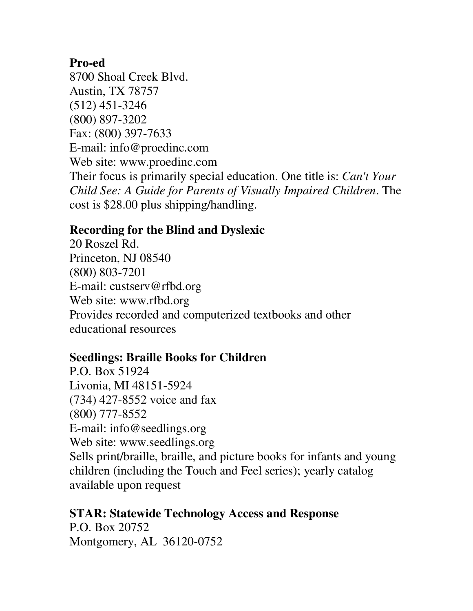#### **Pro-ed**

8700 Shoal Creek Blvd. Austin, TX 78757 (512) 451-3246 (800) 897-3202 Fax: (800) 397-7633 E-mail: info@proedinc.com Web site: www.proedinc.com Their focus is primarily special education. One title is: *Can't Your Child See: A Guide for Parents of Visually Impaired Children*. The cost is \$28.00 plus shipping/handling.

### **Recording for the Blind and Dyslexic**

20 Roszel Rd. Princeton, NJ 08540 (800) 803-7201 E-mail: custserv@rfbd.org Web site: www.rfbd.org Provides recorded and computerized textbooks and other educational resources

### **Seedlings: Braille Books for Children**

P.O. Box 51924 Livonia, MI 48151-5924 (734) 427-8552 voice and fax (800) 777-8552 E-mail: info@seedlings.org Web site: www.seedlings.org Sells print/braille, braille, and picture books for infants and young children (including the Touch and Feel series); yearly catalog available upon request

**STAR: Statewide Technology Access and Response** P.O. Box 20752 Montgomery, AL 36120-0752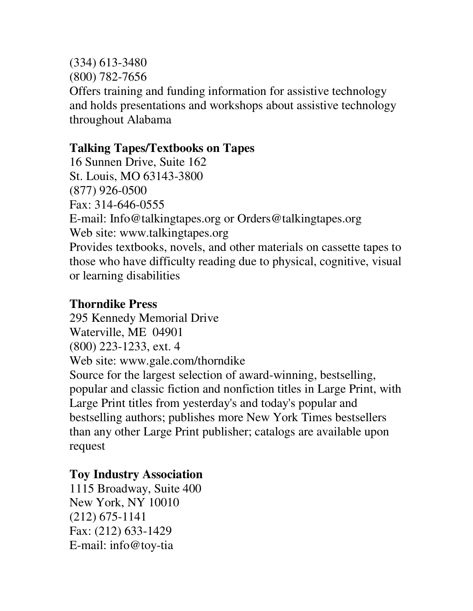(334) 613-3480 (800) 782-7656 Offers training and funding information for assistive technology and holds presentations and workshops about assistive technology throughout Alabama

### **Talking Tapes/Textbooks on Tapes**

16 Sunnen Drive, Suite 162 St. Louis, MO 63143-3800 (877) 926-0500 Fax: 314-646-0555 E-mail: Info@talkingtapes.org or Orders@talkingtapes.org Web site: www.talkingtapes.org Provides textbooks, novels, and other materials on cassette tapes to those who have difficulty reading due to physical, cognitive, visual or learning disabilities

#### **Thorndike Press**

295 Kennedy Memorial Drive Waterville, ME 04901 (800) 223-1233, ext. 4 Web site: www.gale.com/thorndike Source for the largest selection of award-winning, bestselling, popular and classic fiction and nonfiction titles in Large Print, with Large Print titles from yesterday's and today's popular and bestselling authors; publishes more New York Times bestsellers than any other Large Print publisher; catalogs are available upon request

## **Toy Industry Association**

1115 Broadway, Suite 400 New York, NY 10010 (212) 675-1141 Fax: (212) 633-1429 E-mail: info@toy-tia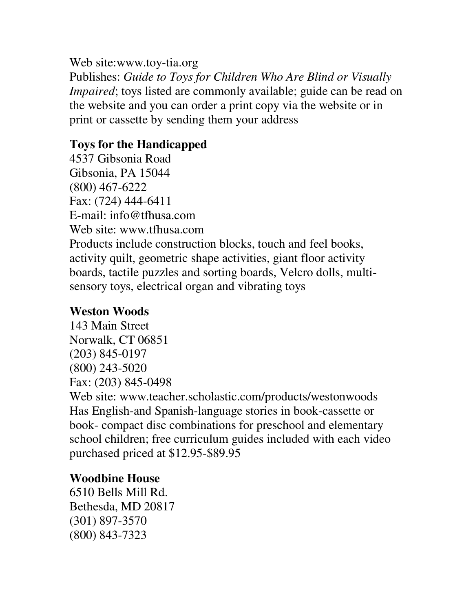#### Web site:www.toy-tia.org

Publishes: *Guide to Toys for Children Who Are Blind or Visually Impaired*; toys listed are commonly available; guide can be read on the website and you can order a print copy via the website or in print or cassette by sending them your address

## **Toys for the Handicapped**

4537 Gibsonia Road Gibsonia, PA 15044 (800) 467-6222 Fax: (724) 444-6411 E-mail: info@tfhusa.com Web site: www.tfhusa.com Products include construction blocks, touch and feel books, activity quilt, geometric shape activities, giant floor activity boards, tactile puzzles and sorting boards, Velcro dolls, multisensory toys, electrical organ and vibrating toys

## **Weston Woods**

143 Main Street Norwalk, CT 06851 (203) 845-0197 (800) 243-5020 Fax: (203) 845-0498

Web site: www.teacher.scholastic.com/products/westonwoods Has English-and Spanish-language stories in book-cassette or book- compact disc combinations for preschool and elementary school children; free curriculum guides included with each video purchased priced at \$12.95-\$89.95

# **Woodbine House**

6510 Bells Mill Rd. Bethesda, MD 20817 (301) 897-3570 (800) 843-7323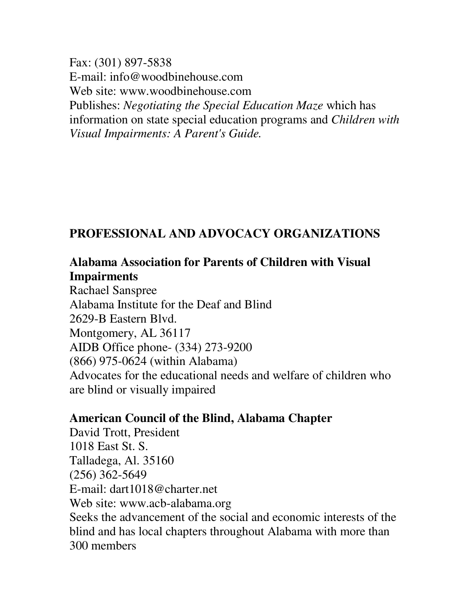Fax: (301) 897-5838 E-mail: info@woodbinehouse.com Web site: www.woodbinehouse.com Publishes: *Negotiating the Special Education Maze* which has information on state special education programs and *Children with Visual Impairments: A Parent's Guide.*

# **PROFESSIONAL AND ADVOCACY ORGANIZATIONS**

### **Alabama Association for Parents of Children with Visual Impairments**

Rachael Sanspree Alabama Institute for the Deaf and Blind 2629-B Eastern Blvd. Montgomery, AL 36117 AIDB Office phone- (334) 273-9200 (866) 975-0624 (within Alabama) Advocates for the educational needs and welfare of children who are blind or visually impaired

### **American Council of the Blind, Alabama Chapter**

David Trott, President 1018 East St. S. Talladega, Al. 35160 (256) 362-5649 E-mail: dart1018@charter.net Web site: www.acb-alabama.org Seeks the advancement of the social and economic interests of the blind and has local chapters throughout Alabama with more than 300 members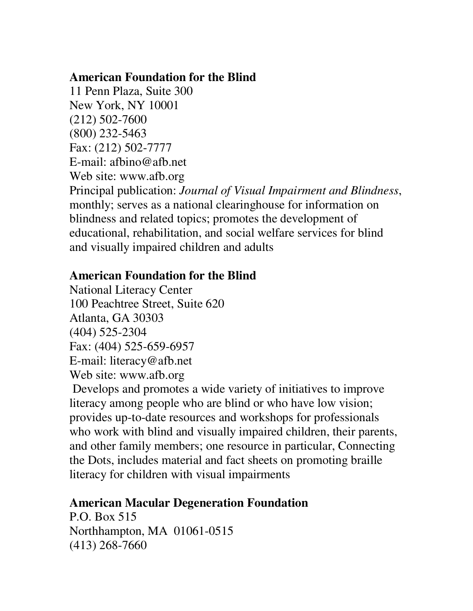#### **American Foundation for the Blind**

11 Penn Plaza, Suite 300 New York, NY 10001 (212) 502-7600 (800) 232-5463 Fax: (212) 502-7777 E-mail: afbino@afb.net Web site: www.afb.org Principal publication: *Journal of Visual Impairment and Blindness*, monthly; serves as a national clearinghouse for information on blindness and related topics; promotes the development of educational, rehabilitation, and social welfare services for blind and visually impaired children and adults

### **American Foundation for the Blind**

National Literacy Center 100 Peachtree Street, Suite 620 Atlanta, GA 30303 (404) 525-2304 Fax: (404) 525-659-6957 E-mail: literacy@afb.net Web site: www.afb.org

Develops and promotes a wide variety of initiatives to improve literacy among people who are blind or who have low vision; provides up-to-date resources and workshops for professionals who work with blind and visually impaired children, their parents, and other family members; one resource in particular, Connecting the Dots, includes material and fact sheets on promoting braille literacy for children with visual impairments

### **American Macular Degeneration Foundation**

P.O. Box 515 Northhampton, MA 01061-0515 (413) 268-7660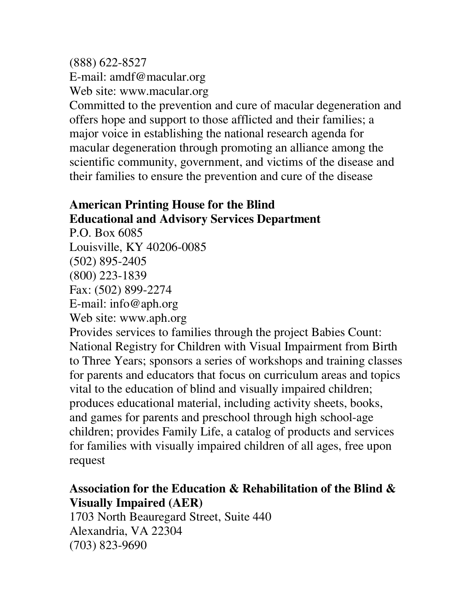(888) 622-8527 E-mail: amdf@macular.org Web site: www.macular.org Committed to the prevention and cure of macular degeneration and offers hope and support to those afflicted and their families; a major voice in establishing the national research agenda for macular degeneration through promoting an alliance among the scientific community, government, and victims of the disease and their families to ensure the prevention and cure of the disease

### **American Printing House for the Blind Educational and Advisory Services Department**

P.O. Box 6085 Louisville, KY 40206-0085 (502) 895-2405 (800) 223-1839 Fax: (502) 899-2274 E-mail: info@aph.org Web site: www.aph.org Provides services to families through the project Babies Count: National Registry for Children with Visual Impairment from Birth to Three Years; sponsors a series of workshops and training classes for parents and educators that focus on curriculum areas and topics vital to the education of blind and visually impaired children; produces educational material, including activity sheets, books, and games for parents and preschool through high school-age children; provides Family Life, a catalog of products and services for families with visually impaired children of all ages, free upon request

## **Association for the Education & Rehabilitation of the Blind & Visually Impaired (AER)**

1703 North Beauregard Street, Suite 440 Alexandria, VA 22304 (703) 823-9690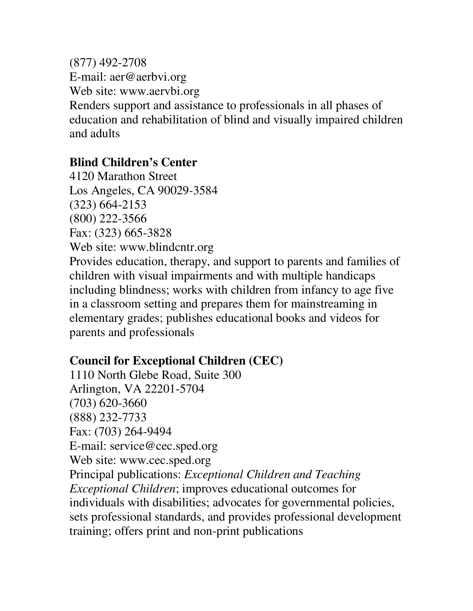(877) 492-2708 E-mail: aer@aerbvi.org Web site: www.aervbi.org Renders support and assistance to professionals in all phases of education and rehabilitation of blind and visually impaired children and adults

### **Blind Children's Center**

4120 Marathon Street Los Angeles, CA 90029-3584 (323) 664-2153 (800) 222-3566 Fax: (323) 665-3828 Web site: www.blindcntr.org Provides education, therapy, and support to parents and families of children with visual impairments and with multiple handicaps including blindness; works with children from infancy to age five in a classroom setting and prepares them for mainstreaming in elementary grades; publishes educational books and videos for parents and professionals

## **Council for Exceptional Children (CEC)**

1110 North Glebe Road, Suite 300 Arlington, VA 22201-5704 (703) 620-3660 (888) 232-7733 Fax: (703) 264-9494 E-mail: service@cec.sped.org Web site: www.cec.sped.org Principal publications: *Exceptional Children and Teaching Exceptional Children*; improves educational outcomes for individuals with disabilities; advocates for governmental policies, sets professional standards, and provides professional development training; offers print and non-print publications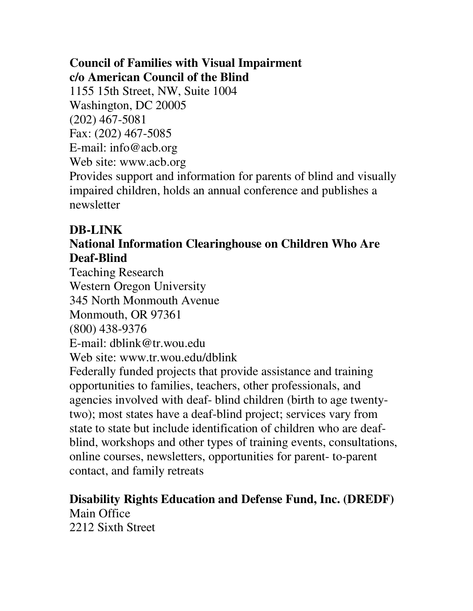## **Council of Families with Visual Impairment c/o American Council of the Blind**

1155 15th Street, NW, Suite 1004 Washington, DC 20005 (202) 467-5081 Fax: (202) 467-5085 E-mail: info@acb.org Web site: www.acb.org Provides support and information for parents of blind and visually impaired children, holds an annual conference and publishes a newsletter

## **DB-LINK**

## **National Information Clearinghouse on Children Who Are Deaf-Blind**

Teaching Research Western Oregon University 345 North Monmouth Avenue Monmouth, OR 97361 (800) 438-9376 E-mail: dblink@tr.wou.edu Web site: www.tr.wou.edu/dblink Federally funded projects that provide assistance and training opportunities to families, teachers, other professionals, and agencies involved with deaf- blind children (birth to age twentytwo); most states have a deaf-blind project; services vary from state to state but include identification of children who are deafblind, workshops and other types of training events, consultations, online courses, newsletters, opportunities for parent- to-parent contact, and family retreats

# **Disability Rights Education and Defense Fund, Inc. (DREDF)** Main Office

2212 Sixth Street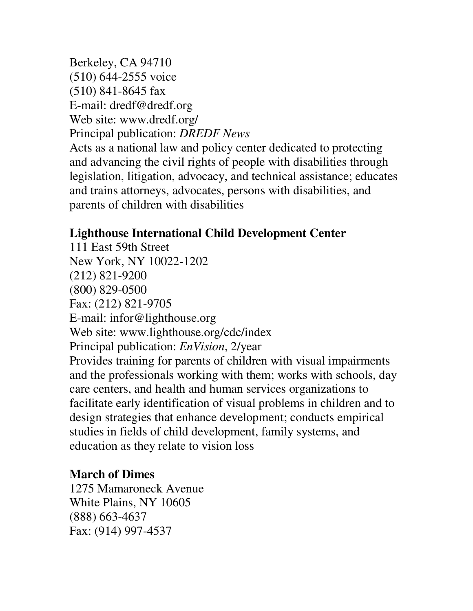Berkeley, CA 94710 (510) 644-2555 voice (510) 841-8645 fax E-mail: dredf@dredf.org Web site: www.dredf.org/ Principal publication: *DREDF News* Acts as a national law and policy center dedicated to protecting and advancing the civil rights of people with disabilities through legislation, litigation, advocacy, and technical assistance; educates and trains attorneys, advocates, persons with disabilities, and parents of children with disabilities

## **Lighthouse International Child Development Center**

111 East 59th Street New York, NY 10022-1202 (212) 821-9200 (800) 829-0500 Fax: (212) 821-9705 E-mail: infor@lighthouse.org Web site: www.lighthouse.org/cdc/index Principal publication: *EnVision*, 2/year Provides training for parents of children with visual impairments and the professionals working with them; works with schools, day care centers, and health and human services organizations to facilitate early identification of visual problems in children and to design strategies that enhance development; conducts empirical studies in fields of child development, family systems, and education as they relate to vision loss

## **March of Dimes**

1275 Mamaroneck Avenue White Plains, NY 10605 (888) 663-4637 Fax: (914) 997-4537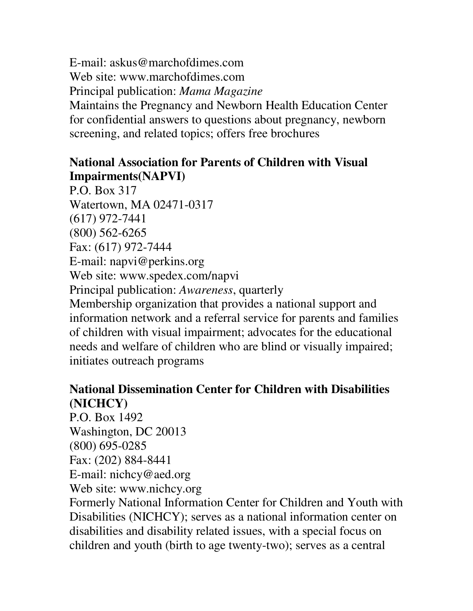E-mail: askus@marchofdimes.com Web site: www.marchofdimes.com Principal publication: *Mama Magazine* Maintains the Pregnancy and Newborn Health Education Center for confidential answers to questions about pregnancy, newborn screening, and related topics; offers free brochures

## **National Association for Parents of Children with Visual Impairments(NAPVI)**

P.O. Box 317 Watertown, MA 02471-0317 (617) 972-7441 (800) 562-6265 Fax: (617) 972-7444 E-mail: napvi@perkins.org Web site: www.spedex.com/napvi Principal publication: *Awareness*, quarterly Membership organization that provides a national support and information network and a referral service for parents and families of children with visual impairment; advocates for the educational needs and welfare of children who are blind or visually impaired; initiates outreach programs

## **National Dissemination Center for Children with Disabilities (NICHCY)**

P.O. Box 1492 Washington, DC 20013 (800) 695-0285 Fax: (202) 884-8441 E-mail: nichcy@aed.org Web site: www.nichcy.org

Formerly National Information Center for Children and Youth with Disabilities (NICHCY); serves as a national information center on disabilities and disability related issues, with a special focus on children and youth (birth to age twenty-two); serves as a central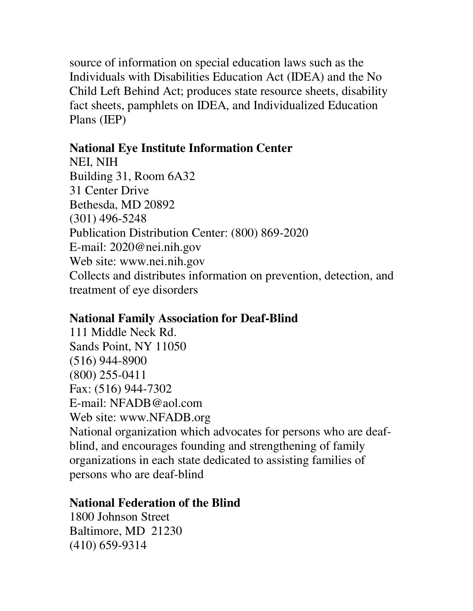source of information on special education laws such as the Individuals with Disabilities Education Act (IDEA) and the No Child Left Behind Act; produces state resource sheets, disability fact sheets, pamphlets on IDEA, and Individualized Education Plans (IEP)

## **National Eye Institute Information Center**

NEI, NIH Building 31, Room 6A32 31 Center Drive Bethesda, MD 20892 (301) 496-5248 Publication Distribution Center: (800) 869-2020 E-mail: 2020@nei.nih.gov Web site: www.nei.nih.gov Collects and distributes information on prevention, detection, and treatment of eye disorders

## **National Family Association for Deaf-Blind**

111 Middle Neck Rd. Sands Point, NY 11050 (516) 944-8900 (800) 255-0411 Fax: (516) 944-7302 E-mail: NFADB@aol.com Web site: www.NFADB.org National organization which advocates for persons who are deafblind, and encourages founding and strengthening of family organizations in each state dedicated to assisting families of persons who are deaf-blind

## **National Federation of the Blind**

1800 Johnson Street Baltimore, MD 21230 (410) 659-9314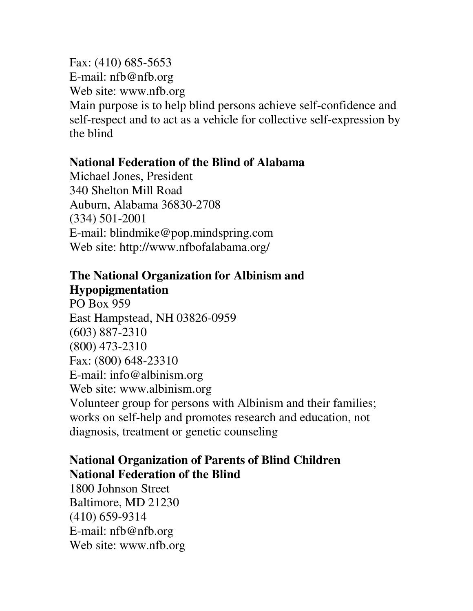Fax: (410) 685-5653 E-mail: nfb@nfb.org Web site: www.nfb.org Main purpose is to help blind persons achieve self-confidence and self-respect and to act as a vehicle for collective self-expression by the blind

#### **National Federation of the Blind of Alabama**

Michael Jones, President 340 Shelton Mill Road Auburn, Alabama 36830-2708 (334) 501-2001 E-mail: blindmike@pop.mindspring.com Web site: http://www.nfbofalabama.org/

#### **The National Organization for Albinism and Hypopigmentation**

PO Box 959 East Hampstead, NH 03826-0959 (603) 887-2310 (800) 473-2310 Fax: (800) 648-23310 E-mail: info@albinism.org Web site: www.albinism.org Volunteer group for persons with Albinism and their families; works on self-help and promotes research and education, not diagnosis, treatment or genetic counseling

## **National Organization of Parents of Blind Children National Federation of the Blind**

1800 Johnson Street Baltimore, MD 21230 (410) 659-9314 E-mail: nfb@nfb.org Web site: www.nfb.org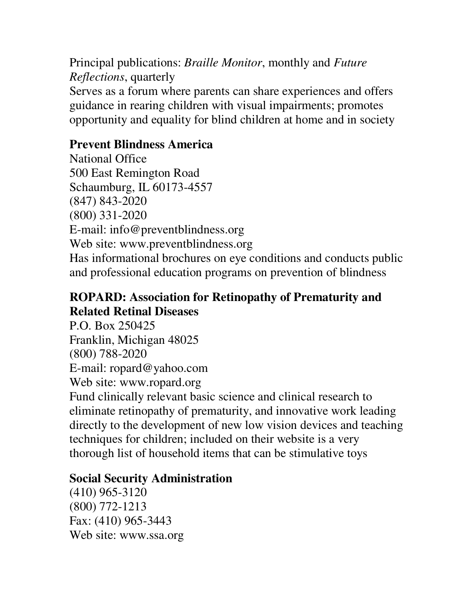Principal publications: *Braille Monitor*, monthly and *Future Reflections*, quarterly Serves as a forum where parents can share experiences and offers guidance in rearing children with visual impairments; promotes opportunity and equality for blind children at home and in society

## **Prevent Blindness America**

National Office 500 East Remington Road Schaumburg, IL 60173-4557 (847) 843-2020 (800) 331-2020 E-mail: info@preventblindness.org Web site: www.preventblindness.org Has informational brochures on eye conditions and conducts public and professional education programs on prevention of blindness

### **ROPARD: Association for Retinopathy of Prematurity and Related Retinal Diseases**

P.O. Box 250425 Franklin, Michigan 48025 (800) 788-2020 E-mail: ropard@yahoo.com Web site: www.ropard.org Fund clinically relevant basic science and clinical research to eliminate retinopathy of prematurity, and innovative work leading directly to the development of new low vision devices and teaching techniques for children; included on their website is a very thorough list of household items that can be stimulative toys

#### **Social Security Administration**

(410) 965-3120 (800) 772-1213 Fax: (410) 965-3443 Web site: www.ssa.org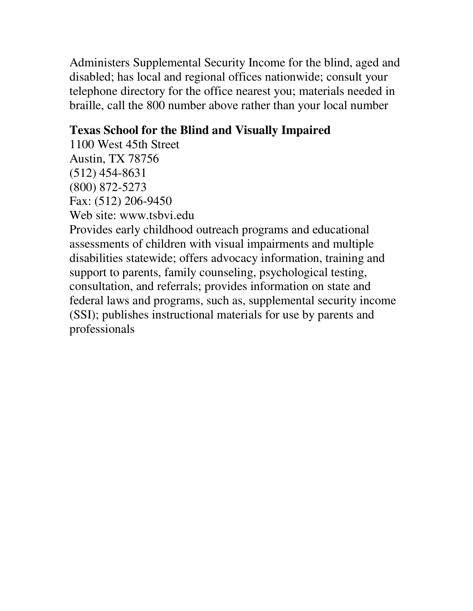Administers Supplemental Security Income for the blind, aged and disabled; has local and regional offices nationwide; consult your telephone directory for the office nearest you; materials needed in braille, call the 800 number above rather than your local number

## **Texas School for the Blind and Visually Impaired**

1100 West 45th Street Austin, TX 78756 (512) 454-8631 (800) 872-5273 Fax: (512) 206-9450 Web site: www.tsbvi.edu

Provides early childhood outreach programs and educational assessments of children with visual impairments and multiple disabilities statewide; offers advocacy information, training and support to parents, family counseling, psychological testing, consultation, and referrals; provides information on state and federal laws and programs, such as, supplemental security income (SSI); publishes instructional materials for use by parents and professionals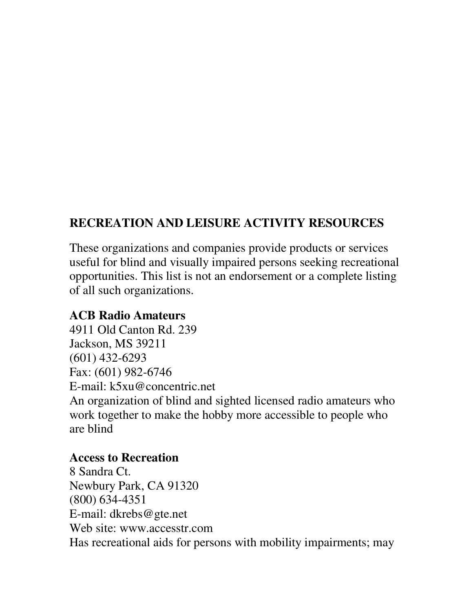## **RECREATION AND LEISURE ACTIVITY RESOURCES**

These organizations and companies provide products or services useful for blind and visually impaired persons seeking recreational opportunities. This list is not an endorsement or a complete listing of all such organizations.

#### **ACB Radio Amateurs**

4911 Old Canton Rd. 239 Jackson, MS 39211 (601) 432-6293 Fax: (601) 982-6746 E-mail: k5xu@concentric.net An organization of blind and sighted licensed radio amateurs who work together to make the hobby more accessible to people who are blind

#### **Access to Recreation**

8 Sandra Ct. Newbury Park, CA 91320 (800) 634-4351 E-mail: dkrebs@gte.net Web site: www.accesstr.com Has recreational aids for persons with mobility impairments; may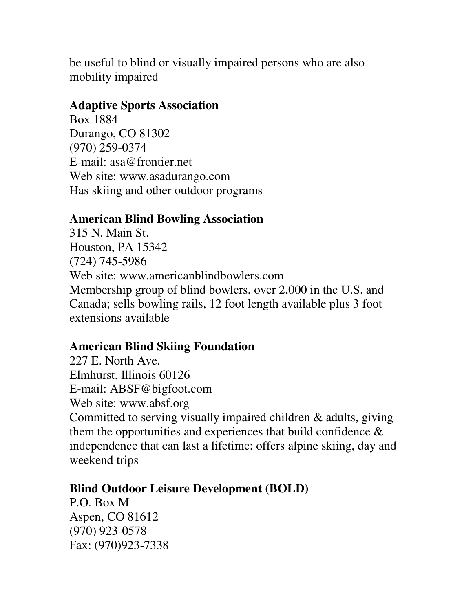be useful to blind or visually impaired persons who are also mobility impaired

#### **Adaptive Sports Association**

Box 1884 Durango, CO 81302 (970) 259-0374 E-mail: asa@frontier.net Web site: www.asadurango.com Has skiing and other outdoor programs

#### **American Blind Bowling Association**

315 N. Main St. Houston, PA 15342 (724) 745-5986 Web site: www.americanblindbowlers.com Membership group of blind bowlers, over 2,000 in the U.S. and Canada; sells bowling rails, 12 foot length available plus 3 foot extensions available

## **American Blind Skiing Foundation**

227 E. North Ave. Elmhurst, Illinois 60126 E-mail: ABSF@bigfoot.com Web site: www.absf.org Committed to serving visually impaired children & adults, giving them the opportunities and experiences that build confidence  $\&$ independence that can last a lifetime; offers alpine skiing, day and weekend trips

#### **Blind Outdoor Leisure Development (BOLD)**

P.O. Box M Aspen, CO 81612 (970) 923-0578 Fax: (970)923-7338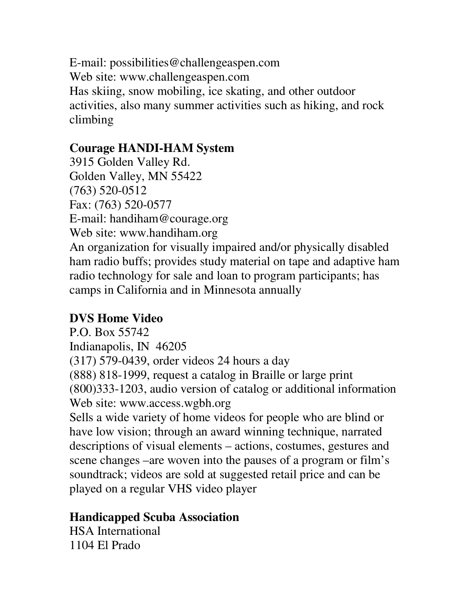E-mail: possibilities@challengeaspen.com Web site: www.challengeaspen.com Has skiing, snow mobiling, ice skating, and other outdoor activities, also many summer activities such as hiking, and rock climbing

## **Courage HANDI-HAM System**

3915 Golden Valley Rd. Golden Valley, MN 55422 (763) 520-0512 Fax: (763) 520-0577 E-mail: handiham@courage.org Web site: www.handiham.org An organization for visually impaired and/or physically disabled ham radio buffs; provides study material on tape and adaptive ham radio technology for sale and loan to program participants; has camps in California and in Minnesota annually

## **DVS Home Video**

P.O. Box 55742 Indianapolis, IN 46205 (317) 579-0439, order videos 24 hours a day (888) 818-1999, request a catalog in Braille or large print (800)333-1203, audio version of catalog or additional information Web site: www.access.wgbh.org

Sells a wide variety of home videos for people who are blind or have low vision; through an award winning technique, narrated descriptions of visual elements – actions, costumes, gestures and scene changes –are woven into the pauses of a program or film's soundtrack; videos are sold at suggested retail price and can be played on a regular VHS video player

## **Handicapped Scuba Association**

HSA International 1104 El Prado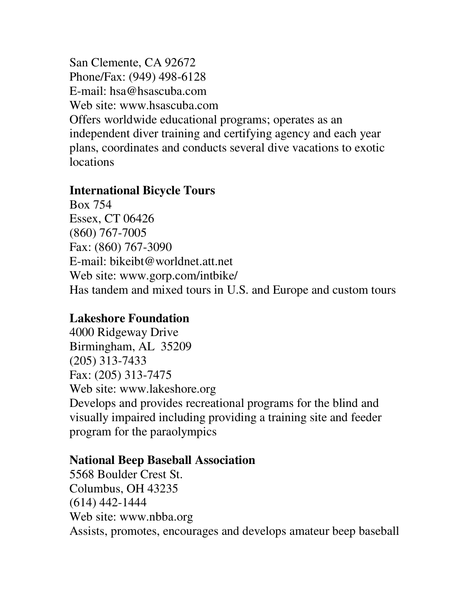San Clemente, CA 92672 Phone/Fax: (949) 498-6128 E-mail: hsa@hsascuba.com Web site: www.hsascuba.com Offers worldwide educational programs; operates as an independent diver training and certifying agency and each year plans, coordinates and conducts several dive vacations to exotic locations

#### **International Bicycle Tours**

Box 754 Essex, CT 06426 (860) 767-7005 Fax: (860) 767-3090 E-mail: bikeibt@worldnet.att.net Web site: www.gorp.com/intbike/ Has tandem and mixed tours in U.S. and Europe and custom tours

#### **Lakeshore Foundation**

4000 Ridgeway Drive Birmingham, AL 35209 (205) 313-7433 Fax: (205) 313-7475 Web site: www.lakeshore.org Develops and provides recreational programs for the blind and visually impaired including providing a training site and feeder program for the paraolympics

#### **National Beep Baseball Association**

5568 Boulder Crest St. Columbus, OH 43235 (614) 442-1444 Web site: www.nbba.org Assists, promotes, encourages and develops amateur beep baseball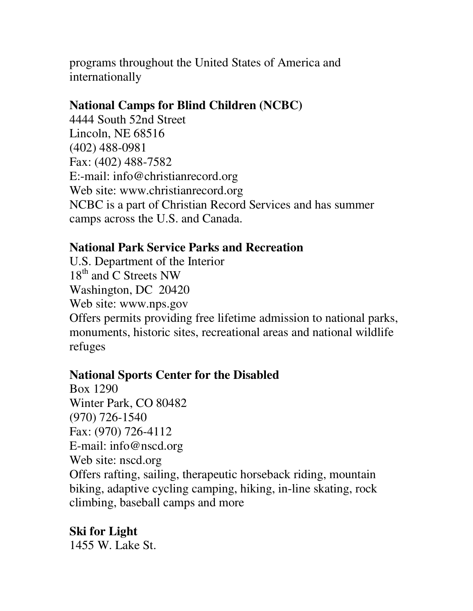programs throughout the United States of America and internationally

#### **National Camps for Blind Children (NCBC)**

4444 South 52nd Street Lincoln, NE 68516 (402) 488-0981 Fax: (402) 488-7582 E:-mail: info@christianrecord.org Web site: www.christianrecord.org NCBC is a part of Christian Record Services and has summer camps across the U.S. and Canada.

## **National Park Service Parks and Recreation**

U.S. Department of the Interior 18<sup>th</sup> and C Streets NW Washington, DC 20420 Web site: www.nps.gov Offers permits providing free lifetime admission to national parks, monuments, historic sites, recreational areas and national wildlife refuges

#### **National Sports Center for the Disabled**

Box 1290 Winter Park, CO 80482 (970) 726-1540 Fax: (970) 726-4112 E-mail: info@nscd.org Web site: nscd.org Offers rafting, sailing, therapeutic horseback riding, mountain biking, adaptive cycling camping, hiking, in-line skating, rock climbing, baseball camps and more

**Ski for Light** 1455 W. Lake St.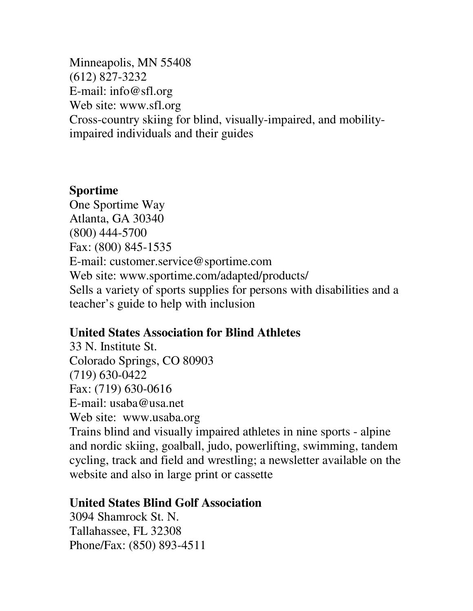Minneapolis, MN 55408 (612) 827-3232 E-mail: info@sfl.org Web site: www.sfl.org Cross-country skiing for blind, visually-impaired, and mobilityimpaired individuals and their guides

#### **Sportime**

One Sportime Way Atlanta, GA 30340 (800) 444-5700 Fax: (800) 845-1535 E-mail: customer.service@sportime.com Web site: www.sportime.com/adapted/products/ Sells a variety of sports supplies for persons with disabilities and a teacher's guide to help with inclusion

#### **United States Association for Blind Athletes**

33 N. Institute St. Colorado Springs, CO 80903 (719) 630-0422 Fax: (719) 630-0616 E-mail: usaba@usa.net Web site: www.usaba.org Trains blind and visually impaired athletes in nine sports - alpine and nordic skiing, goalball, judo, powerlifting, swimming, tandem cycling, track and field and wrestling; a newsletter available on the website and also in large print or cassette

#### **United States Blind Golf Association**

3094 Shamrock St. N. Tallahassee, FL 32308 Phone/Fax: (850) 893-4511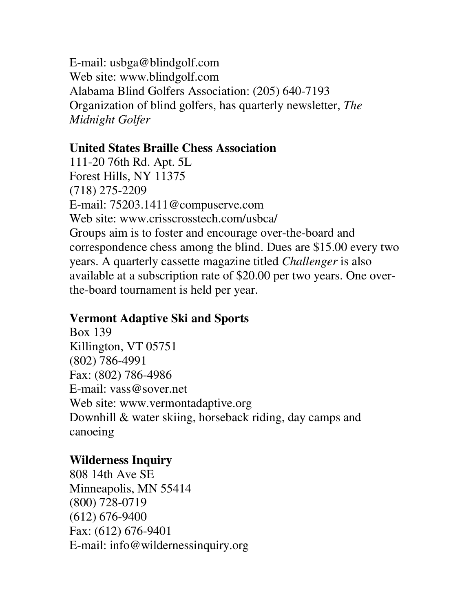E-mail: usbga@blindgolf.com Web site: www.blindgolf.com Alabama Blind Golfers Association: (205) 640-7193 Organization of blind golfers, has quarterly newsletter, *The Midnight Golfer*

### **United States Braille Chess Association**

111-20 76th Rd. Apt. 5L Forest Hills, NY 11375 (718) 275-2209 E-mail: 75203.1411@compuserve.com Web site: www.crisscrosstech.com/usbca/ Groups aim is to foster and encourage over-the-board and correspondence chess among the blind. Dues are \$15.00 every two years. A quarterly cassette magazine titled *Challenger* is also available at a subscription rate of \$20.00 per two years. One overthe-board tournament is held per year.

## **Vermont Adaptive Ski and Sports**

Box 139 Killington, VT 05751 (802) 786-4991 Fax: (802) 786-4986 E-mail: vass@sover.net Web site: www.vermontadaptive.org Downhill & water skiing, horseback riding, day camps and canoeing

## **Wilderness Inquiry**

808 14th Ave SE Minneapolis, MN 55414 (800) 728-0719 (612) 676-9400 Fax: (612) 676-9401 E-mail: info@wildernessinquiry.org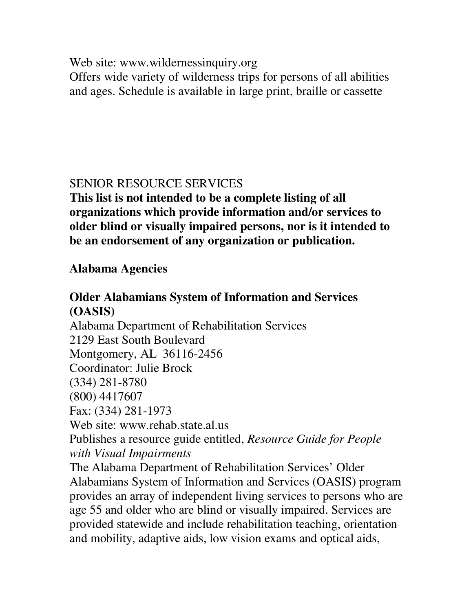Web site: www.wildernessinquiry.org

Offers wide variety of wilderness trips for persons of all abilities and ages. Schedule is available in large print, braille or cassette

## SENIOR RESOURCE SERVICES

**This list is not intended to be a complete listing of all organizations which provide information and/or services to older blind or visually impaired persons, nor is it intended to be an endorsement of any organization or publication.**

## **Alabama Agencies**

## **Older Alabamians System of Information and Services (OASIS)**

Alabama Department of Rehabilitation Services 2129 East South Boulevard Montgomery, AL 36116-2456 Coordinator: Julie Brock (334) 281-8780 (800) 4417607 Fax: (334) 281-1973 Web site: www.rehab.state.al.us Publishes a resource guide entitled, *Resource Guide for People with Visual Impairments* The Alabama Department of Rehabilitation Services' Older Alabamians System of Information and Services (OASIS) program provides an array of independent living services to persons who are age 55 and older who are blind or visually impaired. Services are provided statewide and include rehabilitation teaching, orientation and mobility, adaptive aids, low vision exams and optical aids,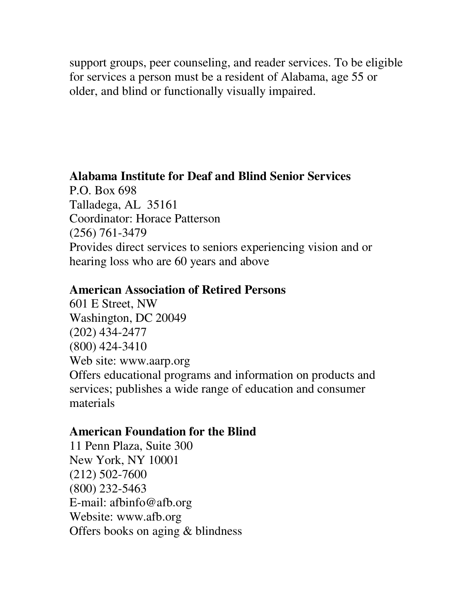support groups, peer counseling, and reader services. To be eligible for services a person must be a resident of Alabama, age 55 or older, and blind or functionally visually impaired.

### **Alabama Institute for Deaf and Blind Senior Services**

P.O. Box 698 Talladega, AL 35161 Coordinator: Horace Patterson (256) 761-3479 Provides direct services to seniors experiencing vision and or hearing loss who are 60 years and above

#### **American Association of Retired Persons**

601 E Street, NW Washington, DC 20049 (202) 434-2477 (800) 424-3410 Web site: www.aarp.org Offers educational programs and information on products and services; publishes a wide range of education and consumer materials

## **American Foundation for the Blind**

11 Penn Plaza, Suite 300 New York, NY 10001 (212) 502-7600 (800) 232-5463 E-mail: afbinfo@afb.org Website: www.afb.org Offers books on aging & blindness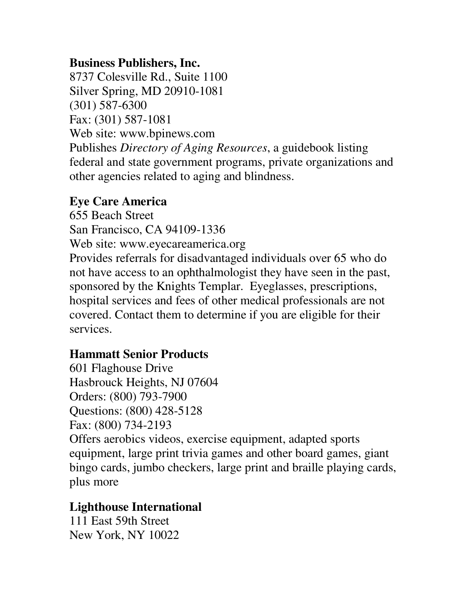### **Business Publishers, Inc.**

8737 Colesville Rd., Suite 1100 Silver Spring, MD 20910-1081 (301) 587-6300 Fax: (301) 587-1081 Web site: www.bpinews.com Publishes *Directory of Aging Resources*, a guidebook listing federal and state government programs, private organizations and other agencies related to aging and blindness.

#### **Eye Care America**

655 Beach Street

San Francisco, CA 94109-1336

Web site: www.eyecareamerica.org

Provides referrals for disadvantaged individuals over 65 who do not have access to an ophthalmologist they have seen in the past, sponsored by the Knights Templar. Eyeglasses, prescriptions, hospital services and fees of other medical professionals are not covered. Contact them to determine if you are eligible for their services.

## **Hammatt Senior Products**

601 Flaghouse Drive Hasbrouck Heights, NJ 07604 Orders: (800) 793-7900 Questions: (800) 428-5128 Fax: (800) 734-2193

Offers aerobics videos, exercise equipment, adapted sports equipment, large print trivia games and other board games, giant bingo cards, jumbo checkers, large print and braille playing cards, plus more

## **Lighthouse International**

111 East 59th Street New York, NY 10022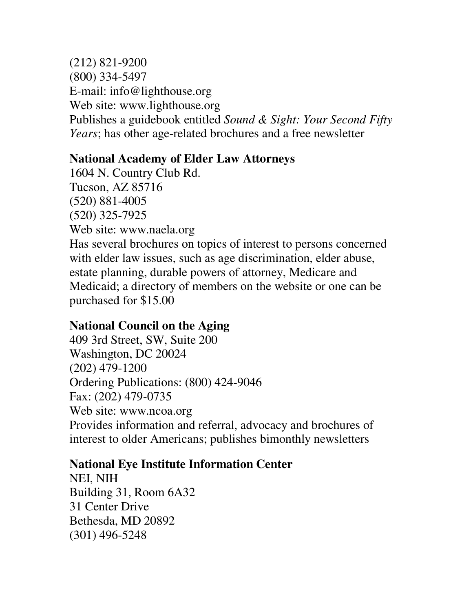(212) 821-9200 (800) 334-5497 E-mail: info@lighthouse.org Web site: www.lighthouse.org Publishes a guidebook entitled *Sound & Sight: Your Second Fifty Years*; has other age-related brochures and a free newsletter

## **National Academy of Elder Law Attorneys**

1604 N. Country Club Rd. Tucson, AZ 85716 (520) 881-4005 (520) 325-7925 Web site: www.naela.org Has several brochures on topics of interest to persons concerned with elder law issues, such as age discrimination, elder abuse, estate planning, durable powers of attorney, Medicare and Medicaid; a directory of members on the website or one can be purchased for \$15.00

## **National Council on the Aging**

409 3rd Street, SW, Suite 200 Washington, DC 20024 (202) 479-1200 Ordering Publications: (800) 424-9046 Fax: (202) 479-0735 Web site: www.ncoa.org Provides information and referral, advocacy and brochures of interest to older Americans; publishes bimonthly newsletters

## **National Eye Institute Information Center**

NEI, NIH Building 31, Room 6A32 31 Center Drive Bethesda, MD 20892 (301) 496-5248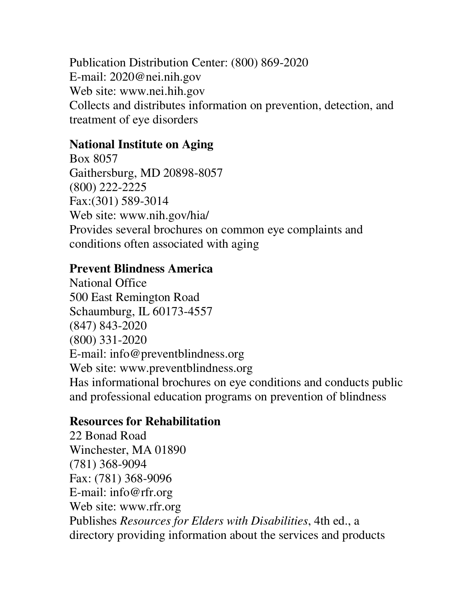Publication Distribution Center: (800) 869-2020 E-mail: 2020@nei.nih.gov Web site: www.nei.hih.gov Collects and distributes information on prevention, detection, and treatment of eye disorders

## **National Institute on Aging**

Box 8057 Gaithersburg, MD 20898-8057 (800) 222-2225 Fax:(301) 589-3014 Web site: www.nih.gov/hia/ Provides several brochures on common eye complaints and conditions often associated with aging

### **Prevent Blindness America**

National Office 500 East Remington Road Schaumburg, IL 60173-4557 (847) 843-2020 (800) 331-2020 E-mail: info@preventblindness.org Web site: www.preventblindness.org Has informational brochures on eye conditions and conducts public and professional education programs on prevention of blindness

## **Resources for Rehabilitation**

22 Bonad Road Winchester, MA 01890 (781) 368-9094 Fax: (781) 368-9096 E-mail: info@rfr.org Web site: www.rfr.org Publishes *Resources for Elders with Disabilities*, 4th ed., a directory providing information about the services and products